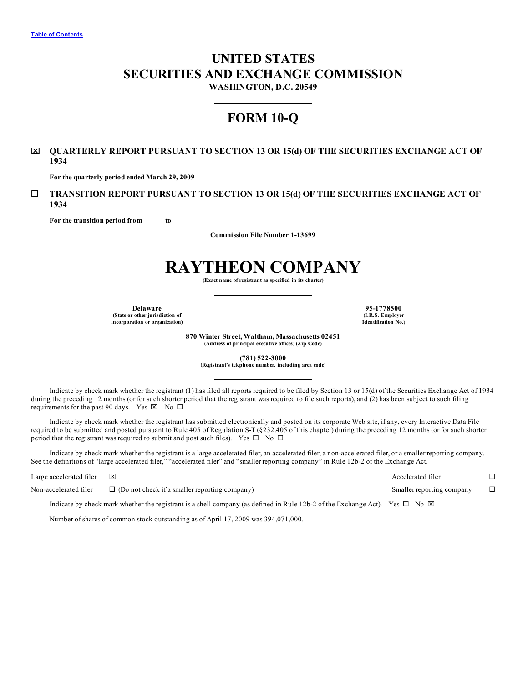## **UNITED STATES SECURITIES AND EXCHANGE COMMISSION WASHINGTON, D.C. 20549**

# **FORM 10-Q**

### x **QUARTERLY REPORT PURSUANT TO SECTION 13 OR 15(d) OF THE SECURITIES EXCHANGE ACT OF 1934**

**For the quarterly period ended March 29, 2009**

### ¨ **TRANSITION REPORT PURSUANT TO SECTION 13 OR 15(d) OF THE SECURITIES EXCHANGE ACT OF 1934**

**For the transition period from to**

**Commission File Number 1-13699**

# **RAYTHEON COMPANY**

**(Exact name of registrant as specified in its charter)**

**Delaware 95-1778500 (State or other jurisdiction of incorporation or organization)**

**(I.R.S. Employer Identification No.)**

**870 Winter Street, Waltham, Massachusetts 02451 (Address of principal executive offices) (Zip Code)**

**(781) 522-3000**

**(Registrant's telephone number, including area code)**

Indicate by check mark whether the registrant (1) has filed all reports required to be filed by Section 13 or 15(d) of the Securities Exchange Act of 1934 during the preceding 12 months (or for such shorter period that the registrant was required to file such reports), and (2) has been subject to such filing requirements for the past 90 days. Yes  $\boxtimes$  No  $\square$ 

Indicate by check mark whether the registrant has submitted electronically and posted on its corporate Web site, if any, every Interactive Data File required to be submitted and posted pursuant to Rule 405 of Regulation S-T (§232.405 of this chapter) during the preceding 12 months (or for such shorter period that the registrant was required to submit and post such files). Yes  $\Box$  No  $\Box$ 

Indicate by check mark whether the registrant is a large accelerated filer, an accelerated filer, a non-accelerated filer, or a smaller reporting company. See the definitions of "large accelerated filer," "accelerated filer" and "smaller reporting company" in Rule 12b-2 of the Exchange Act.

| Large accelerated filer | $\overline{\mathbf{x}}$                                                                                                                    | Accelerated filer         |  |
|-------------------------|--------------------------------------------------------------------------------------------------------------------------------------------|---------------------------|--|
| Non-accelerated filer   | $\Box$ (Do not check if a smaller reporting company)                                                                                       | Smaller reporting company |  |
|                         | Indicate by check mark whether the registrant is a shell company (as defined in Rule 12b-2 of the Exchange Act). Yes $\Box$ No $\boxtimes$ |                           |  |

Number of shares of common stock outstanding as of April 17, 2009 was 394,071,000.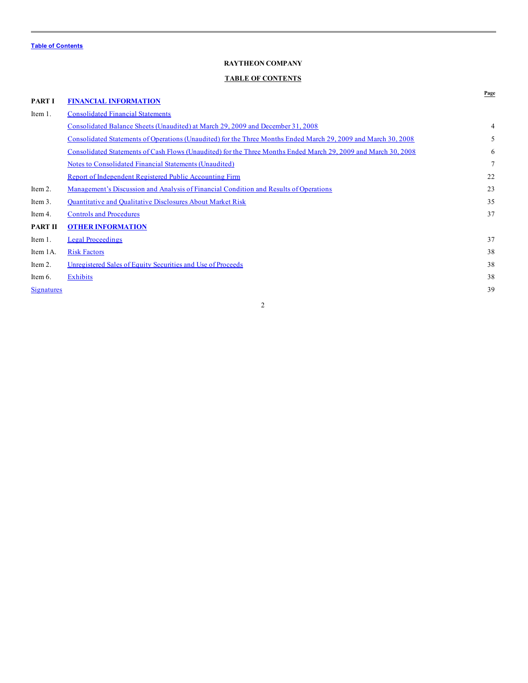### **RAYTHEON COMPANY**

### **TABLE OF CONTENTS**

<span id="page-1-0"></span>

| <b>PART I</b>     | <b>FINANCIAL INFORMATION</b>                                                                                   | Page           |
|-------------------|----------------------------------------------------------------------------------------------------------------|----------------|
| Item 1.           | <b>Consolidated Financial Statements</b>                                                                       |                |
|                   | Consolidated Balance Sheets (Unaudited) at March 29, 2009 and December 31, 2008                                | $\overline{4}$ |
|                   | Consolidated Statements of Operations (Unaudited) for the Three Months Ended March 29, 2009 and March 30, 2008 | 5              |
|                   | Consolidated Statements of Cash Flows (Unaudited) for the Three Months Ended March 29, 2009 and March 30, 2008 | 6              |
|                   | <b>Notes to Consolidated Financial Statements (Unaudited)</b>                                                  | $\tau$         |
|                   | Report of Independent Registered Public Accounting Firm                                                        | 22             |
| Item 2.           | Management's Discussion and Analysis of Financial Condition and Results of Operations                          | 23             |
| Item 3.           | <b>Quantitative and Qualitative Disclosures About Market Risk</b>                                              | 35             |
| Item 4.           | <b>Controls and Procedures</b>                                                                                 | 37             |
| <b>PART II</b>    | <b>OTHER INFORMATION</b>                                                                                       |                |
| Item 1.           | <b>Legal Proceedings</b>                                                                                       | 37             |
| Item 1A.          | <b>Risk Factors</b>                                                                                            | 38             |
| Item 2.           | Unregistered Sales of Equity Securities and Use of Proceeds                                                    | 38             |
| Item 6.           | Exhibits                                                                                                       | 38             |
| <b>Signatures</b> |                                                                                                                | 39             |
|                   | 2                                                                                                              |                |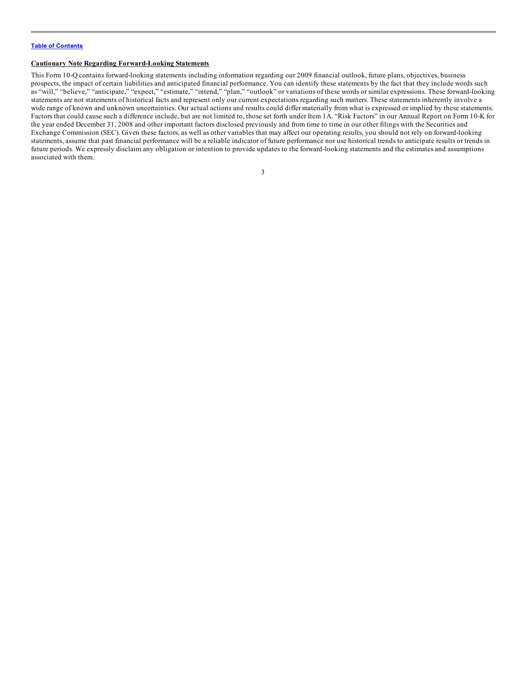#### **Cautionary Note Regarding Forward-Looking Statements**

This Form 10-Q contains forward-looking statements including information regarding our 2009 financial outlook, future plans, objectives, business prospects, the impact of certain liabilities and anticipated financial performance. You can identify these statements by the fact that they include words such as "will," "believe," "anticipate," "expect," "estimate," "intend," "plan," "outlook" or variations of these words or similar expressions. These forward-looking statements are not statements of historical facts and represent only our current expectations regarding such matters. These statements inherently involve a wide range of known and unknown uncertainties. Our actual actions and results could differ materially from what is expressed or implied by these statements. Factors that could cause such a difference include, but are not limited to, those set forth under Item 1A. "Risk Factors" in our Annual Report on Form 10-K for the year ended December 31, 2008 and other important factors disclosed previously and from time to time in our other filings with the Securities and Exchange Commission (SEC). Given these factors, as well as other variables that may affect our operating results, you should not rely on forward-looking statements, assume that past financial performance will be a reliable indicator of future performance nor use historical trends to anticipate results or trends in future periods. We expressly disclaim any obligation or intention to provide updates to the forward-looking statements and the estimates and assumptions associated with them.

| I      |
|--------|
| I<br>I |
| ×<br>v |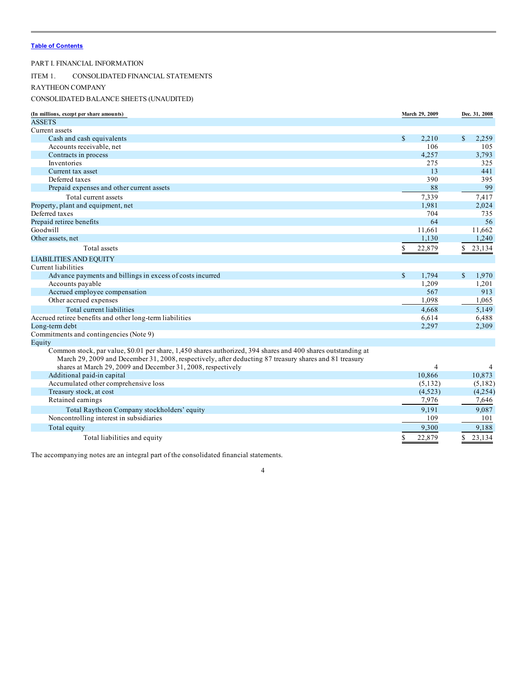<span id="page-3-0"></span>PART I. FINANCIAL INFORMATION

ITEM 1. CONSOLIDATED FINANCIAL STATEMENTS

RAYTHEON COMPANY

### CONSOLIDATED BALANCE SHEETS (UNAUDITED)

| (In millions, except per share amounts)                                                                                                                                                                                |              | March 29, 2009 |               | Dec. 31, 2008 |
|------------------------------------------------------------------------------------------------------------------------------------------------------------------------------------------------------------------------|--------------|----------------|---------------|---------------|
| <b>ASSETS</b>                                                                                                                                                                                                          |              |                |               |               |
| Current assets                                                                                                                                                                                                         |              |                |               |               |
| Cash and cash equivalents                                                                                                                                                                                              | $\mathbb{S}$ | 2,210          | <sup>\$</sup> | 2,259         |
| Accounts receivable, net                                                                                                                                                                                               |              | 106            |               | 105           |
| Contracts in process                                                                                                                                                                                                   |              | 4,257          |               | 3,793         |
| Inventories                                                                                                                                                                                                            |              | 275            |               | 325           |
| Current tax asset                                                                                                                                                                                                      |              | 13             |               | 441           |
| Deferred taxes                                                                                                                                                                                                         |              | 390            |               | 395           |
| Prepaid expenses and other current assets                                                                                                                                                                              |              | 88             |               | 99            |
| Total current assets                                                                                                                                                                                                   |              | 7,339          |               | 7,417         |
| Property, plant and equipment, net                                                                                                                                                                                     |              | 1,981          |               | 2,024         |
| Deferred taxes                                                                                                                                                                                                         |              | 704            |               | 735           |
| Prepaid retiree benefits                                                                                                                                                                                               |              | 64             |               | 56            |
| Goodwill                                                                                                                                                                                                               |              | 11,661         |               | 11,662        |
| Other assets, net                                                                                                                                                                                                      |              | 1.130          |               | 1,240         |
| Total assets                                                                                                                                                                                                           | \$           | 22,879         |               | \$23,134      |
| <b>LIABILITIES AND EQUITY</b>                                                                                                                                                                                          |              |                |               |               |
| Current liabilities                                                                                                                                                                                                    |              |                |               |               |
| Advance payments and billings in excess of costs incurred                                                                                                                                                              | $\mathbb{S}$ | 1,794          | $\mathbb{S}$  | 1,970         |
| Accounts payable                                                                                                                                                                                                       |              | 1,209          |               | 1,201         |
| Accrued employee compensation                                                                                                                                                                                          |              | 567            |               | 913           |
| Other accrued expenses                                                                                                                                                                                                 |              | 1,098          |               | 1,065         |
| Total current liabilities                                                                                                                                                                                              |              | 4,668          |               | 5,149         |
| Accrued retiree benefits and other long-term liabilities                                                                                                                                                               |              | 6,614          |               | 6,488         |
| Long-term debt                                                                                                                                                                                                         |              | 2,297          |               | 2,309         |
| Commitments and contingencies (Note 9)                                                                                                                                                                                 |              |                |               |               |
| Equity                                                                                                                                                                                                                 |              |                |               |               |
| Common stock, par value, \$0.01 per share, 1,450 shares authorized, 394 shares and 400 shares outstanding at<br>March 29, 2009 and December 31, 2008, respectively, after deducting 87 treasury shares and 81 treasury |              |                |               |               |
| shares at March 29, 2009 and December 31, 2008, respectively                                                                                                                                                           |              | $\overline{4}$ |               |               |
| Additional paid-in capital                                                                                                                                                                                             |              | 10,866         |               | 10,873        |
| Accumulated other comprehensive loss                                                                                                                                                                                   |              | (5,132)        |               | (5,182)       |
| Treasury stock, at cost                                                                                                                                                                                                |              | (4,523)        |               | (4,254)       |
| Retained earnings                                                                                                                                                                                                      |              | 7,976          |               | 7,646         |
| Total Raytheon Company stockholders' equity                                                                                                                                                                            |              | 9,191          |               | 9,087         |
| Noncontrolling interest in subsidiaries                                                                                                                                                                                |              | 109            |               | 101           |
| Total equity                                                                                                                                                                                                           |              | 9,300          |               | 9,188         |
| Total liabilities and equity                                                                                                                                                                                           | \$           | 22,879         |               | \$23.134      |

The accompanying notes are an integral part of the consolidated financial statements.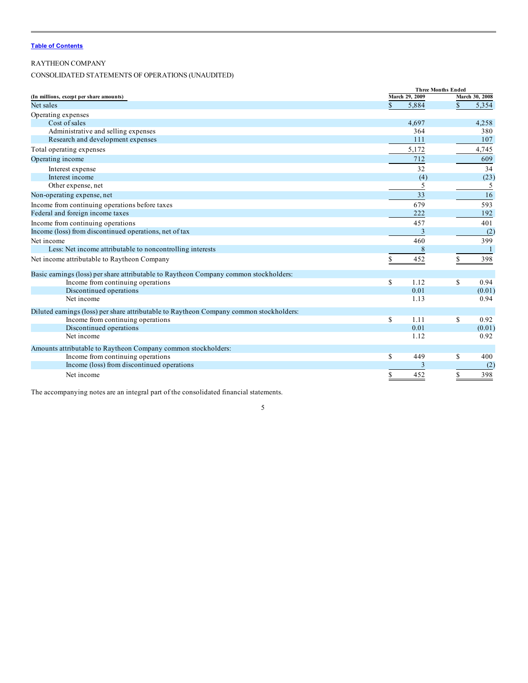### <span id="page-4-0"></span>RAYTHEON COMPANY

### CONSOLIDATED STATEMENTS OF OPERATIONS (UNAUDITED)

|                                                                                         |              | <b>Three Months Ended</b> |    |                |  |
|-----------------------------------------------------------------------------------------|--------------|---------------------------|----|----------------|--|
| (In millions, except per share amounts)                                                 |              | March 29, 2009            |    | March 30, 2008 |  |
| Net sales                                                                               | \$           | 5,884                     | \$ | 5,354          |  |
| Operating expenses                                                                      |              |                           |    |                |  |
| Cost of sales                                                                           |              | 4.697                     |    | 4,258          |  |
| Administrative and selling expenses                                                     |              | 364                       |    | 380            |  |
| Research and development expenses                                                       |              | 111                       |    | 107            |  |
| Total operating expenses                                                                |              | 5,172                     |    | 4,745          |  |
| Operating income                                                                        |              | 712                       |    | 609            |  |
| Interest expense                                                                        |              | 32                        |    | 34             |  |
| Interest income                                                                         |              | (4)                       |    | (23)           |  |
| Other expense, net                                                                      |              | 5                         |    | 5              |  |
| Non-operating expense, net                                                              |              | 33                        |    | 16             |  |
| Income from continuing operations before taxes                                          |              | 679                       |    | 593            |  |
| Federal and foreign income taxes                                                        |              | 222                       |    | 192            |  |
| Income from continuing operations                                                       |              | 457                       |    | 401            |  |
| Income (loss) from discontinued operations, net of tax                                  |              | 3                         |    | (2)            |  |
| Net income                                                                              |              | 460                       |    | 399            |  |
| Less: Net income attributable to noncontrolling interests                               |              | 8                         |    |                |  |
| Net income attributable to Raytheon Company                                             | \$           | 452                       | S  | 398            |  |
| Basic earnings (loss) per share attributable to Raytheon Company common stockholders:   |              |                           |    |                |  |
| Income from continuing operations                                                       | $\mathbb{S}$ | 1.12                      | \$ | 0.94           |  |
| Discontinued operations                                                                 |              | 0.01                      |    | (0.01)         |  |
| Net income                                                                              |              | 1.13                      |    | 0.94           |  |
| Diluted earnings (loss) per share attributable to Raytheon Company common stockholders: |              |                           |    |                |  |
| Income from continuing operations                                                       | \$           | 1.11                      | \$ | 0.92           |  |
| Discontinued operations                                                                 |              | 0.01                      |    | (0.01)         |  |
| Net income                                                                              |              | 1.12                      |    | 0.92           |  |
| Amounts attributable to Raytheon Company common stockholders:                           |              |                           |    |                |  |
| Income from continuing operations                                                       | \$           | 449                       | \$ | 400            |  |
| Income (loss) from discontinued operations                                              |              | 3                         |    | (2)            |  |
| Net income                                                                              | \$           | 452                       | \$ | 398            |  |

The accompanying notes are an integral part of the consolidated financial statements.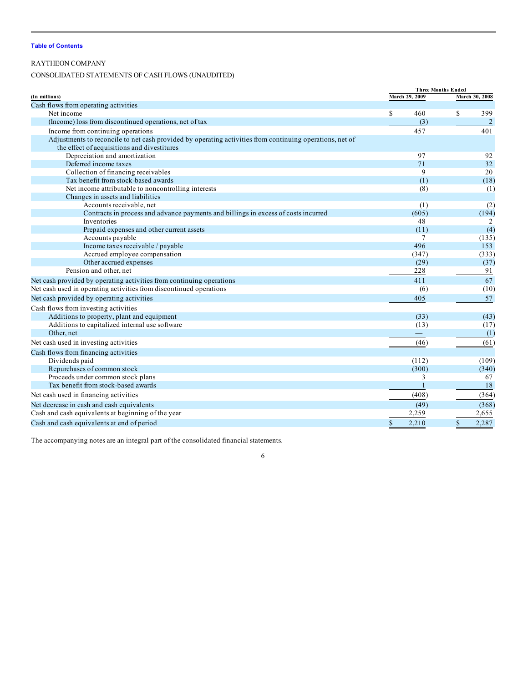### <span id="page-5-0"></span>RAYTHEON COMPANY

### CONSOLIDATED STATEMENTS OF CASH FLOWS (UNAUDITED)

|                                                                                                                                                         | <b>Three Months Ended</b> |                |                |                |  |  |
|---------------------------------------------------------------------------------------------------------------------------------------------------------|---------------------------|----------------|----------------|----------------|--|--|
| (In millions)                                                                                                                                           |                           | March 29, 2009 | March 30, 2008 |                |  |  |
| Cash flows from operating activities                                                                                                                    |                           |                |                |                |  |  |
| Net income                                                                                                                                              | \$                        | 460            | \$             | 399            |  |  |
| (Income) loss from discontinued operations, net of tax                                                                                                  |                           | (3)            |                | $\overline{c}$ |  |  |
| Income from continuing operations                                                                                                                       |                           | 457            |                | 401            |  |  |
| Adjustments to reconcile to net cash provided by operating activities from continuing operations, net of<br>the effect of acquisitions and divestitures |                           |                |                |                |  |  |
| Depreciation and amortization                                                                                                                           |                           | 97             |                | 92             |  |  |
| Deferred income taxes                                                                                                                                   |                           | 71             |                | 32             |  |  |
| Collection of financing receivables                                                                                                                     |                           | 9              |                | 20             |  |  |
| Tax benefit from stock-based awards                                                                                                                     |                           | (1)            |                | (18)           |  |  |
| Net income attributable to noncontrolling interests                                                                                                     |                           | (8)            |                | (1)            |  |  |
| Changes in assets and liabilities                                                                                                                       |                           |                |                |                |  |  |
| Accounts receivable, net                                                                                                                                |                           | (1)            |                | (2)            |  |  |
| Contracts in process and advance payments and billings in excess of costs incurred                                                                      |                           | (605)          |                | (194)          |  |  |
| Inventories                                                                                                                                             |                           | 48             |                | 2              |  |  |
| Prepaid expenses and other current assets                                                                                                               |                           | (11)           |                | (4)            |  |  |
| Accounts payable                                                                                                                                        |                           | 7              |                | (135)          |  |  |
| Income taxes receivable / payable                                                                                                                       |                           | 496            |                | 153            |  |  |
| Accrued employee compensation                                                                                                                           |                           | (347)          |                | (333)          |  |  |
| Other accrued expenses                                                                                                                                  |                           | (29)           |                | (37)           |  |  |
| Pension and other, net                                                                                                                                  |                           | 228            |                | 91             |  |  |
| Net cash provided by operating activities from continuing operations                                                                                    |                           | 411            |                | 67             |  |  |
| Net cash used in operating activities from discontinued operations                                                                                      |                           | (6)            |                | (10)           |  |  |
| Net cash provided by operating activities                                                                                                               |                           | 405            |                | 57             |  |  |
| Cash flows from investing activities                                                                                                                    |                           |                |                |                |  |  |
| Additions to property, plant and equipment                                                                                                              |                           | (33)           |                | (43)           |  |  |
| Additions to capitalized internal use software                                                                                                          |                           | (13)           |                | (17)           |  |  |
| Other, net                                                                                                                                              |                           |                |                | (1)            |  |  |
| Net cash used in investing activities                                                                                                                   |                           | (46)           |                | (61)           |  |  |
| Cash flows from financing activities                                                                                                                    |                           |                |                |                |  |  |
| Dividends paid                                                                                                                                          |                           | (112)          |                | (109)          |  |  |
| Repurchases of common stock                                                                                                                             |                           | (300)          |                | (340)          |  |  |
| Proceeds under common stock plans                                                                                                                       |                           | 3              |                | 67             |  |  |
| Tax benefit from stock-based awards                                                                                                                     |                           |                |                | 18             |  |  |
| Net cash used in financing activities                                                                                                                   |                           | (408)          |                | (364)          |  |  |
| Net decrease in cash and cash equivalents                                                                                                               |                           | (49)           |                | (368)          |  |  |
| Cash and cash equivalents at beginning of the year                                                                                                      |                           | 2,259          |                | 2,655          |  |  |
| Cash and cash equivalents at end of period                                                                                                              | \$                        | 2,210          | \$             | 2,287          |  |  |

6

The accompanying notes are an integral part of the consolidated financial statements.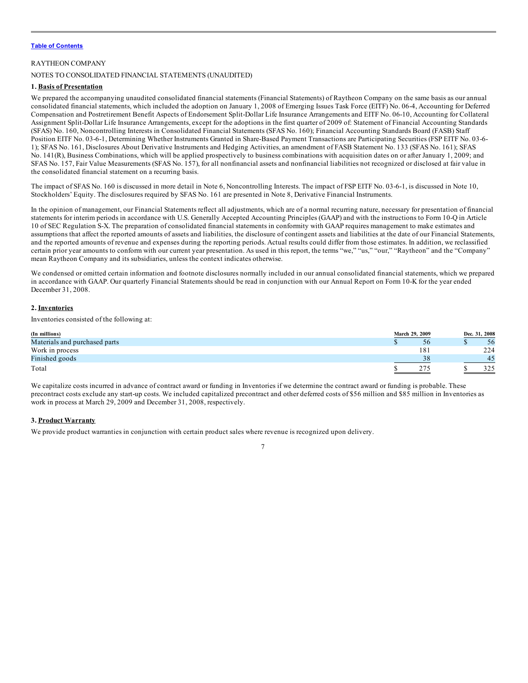### <span id="page-6-0"></span>RAYTHEON COMPANY NOTES TO CONSOLIDATED FINANCIAL STATEMENTS (UNAUDITED)

#### **1. Basis of Presentation**

We prepared the accompanying unaudited consolidated financial statements (Financial Statements) of Raytheon Company on the same basis as our annual consolidated financial statements, which included the adoption on January 1, 2008 of Emerging Issues Task Force (EITF) No. 06-4, Accounting for Deferred Compensation and Postretirement Benefit Aspects of Endorsement Split-Dollar Life Insurance Arrangements and EITF No. 06-10, Accounting for Collateral Assignment Split-Dollar Life Insurance Arrangements, except for the adoptions in the first quarter of 2009 of: Statement of Financial Accounting Standards (SFAS) No. 160, Noncontrolling Interests in Consolidated Financial Statements (SFAS No. 160); Financial Accounting Standards Board (FASB) Staff Position EITF No. 03-6-1, Determining Whether Instruments Granted in Share-Based Payment Transactions are Participating Securities (FSP EITF No. 03-6- 1); SFAS No. 161, Disclosures About Derivative Instruments and Hedging Activities, an amendment of FASB Statement No. 133 (SFAS No. 161); SFAS No. 141(R), Business Combinations, which will be applied prospectively to business combinations with acquisition dates on or after January 1, 2009; and SFAS No. 157, Fair Value Measurements (SFAS No. 157), for all nonfinancial assets and nonfinancial liabilities not recognized or disclosed at fair value in the consolidated financial statement on a recurring basis.

The impact of SFAS No. 160 is discussed in more detail in Note 6, Noncontrolling Interests. The impact of FSP EITF No. 03-6-1, is discussed in Note 10, Stockholders' Equity. The disclosures required by SFAS No. 161 are presented in Note 8, Derivative Financial Instruments.

In the opinion of management, our Financial Statements reflect all adjustments, which are of a normal recurring nature, necessary for presentation of financial statements for interim periods in accordance with U.S. Generally Accepted Accounting Principles (GAAP) and with the instructions to Form 10-Q in Article 10 of SEC Regulation S-X. The preparation of consolidated financial statements in conformity with GAAP requires management to make estimates and assumptions that affect the reported amounts of assets and liabilities, the disclosure of contingent assets and liabilities at the date of our Financial Statements, and the reported amounts of revenue and expenses during the reporting periods. Actual results could differ from those estimates. In addition, we reclassified certain prior year amounts to conform with our current year presentation. As used in this report, the terms "we," "us," "our," "Raytheon" and the "Company" mean Raytheon Company and its subsidiaries, unless the context indicates otherwise.

We condensed or omitted certain information and footnote disclosures normally included in our annual consolidated financial statements, which we prepared in accordance with GAAP. Our quarterly Financial Statements should be read in conjunction with our Annual Report on Form 10-K for the year ended December 31, 2008.

#### **2. Inventories**

Inventories consisted of the following at:

| (In millions)                 | March 29, 2009 |  | Dec. 31, 2008 |     |
|-------------------------------|----------------|--|---------------|-----|
| Materials and purchased parts | эb             |  |               | 56  |
| Work in process               | 181            |  |               | 224 |
| Finished goods                | 38             |  |               | 45  |
| Total                         | <u>_</u>       |  |               | 325 |

We capitalize costs incurred in advance of contract award or funding in Inventories if we determine the contract award or funding is probable. These precontract costs exclude any start-up costs. We included capitalized precontract and other deferred costs of \$56 million and \$85 million in Inventories as work in process at March 29, 2009 and December 31, 2008, respectively.

#### **3. Product Warranty**

We provide product warranties in conjunction with certain product sales where revenue is recognized upon delivery.

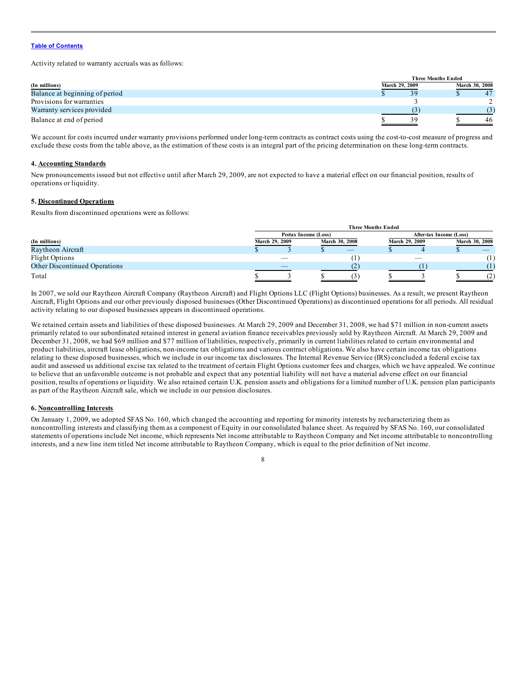Activity related to warranty accruals was as follows:

|                                |                       | <b>Three Months Ended</b> |  |  |  |  |
|--------------------------------|-----------------------|---------------------------|--|--|--|--|
| (In millions)                  | <b>March 29, 2009</b> | <b>March 30, 2008</b>     |  |  |  |  |
| Balance at beginning of period | 39                    | 47                        |  |  |  |  |
| Provisions for warranties      |                       |                           |  |  |  |  |
| Warranty services provided     |                       | (3)                       |  |  |  |  |
| Balance at end of period       | 39                    | 46                        |  |  |  |  |

We account for costs incurred under warranty provisions performed under long-term contracts as contract costs using the cost-to-cost measure of progress and exclude these costs from the table above, as the estimation of these costs is an integral part of the pricing determination on these long-term contracts.

#### **4. Accounting Standards**

New pronouncements issued but not effective until after March 29, 2009, are not expected to have a material effect on our financial position, results of operations or liquidity.

#### **5. Discontinued Operations**

Results from discontinued operations were as follows:

|                                      | <b>Three Months Ended</b> |                             |                |  |                |                         |                |  |  |
|--------------------------------------|---------------------------|-----------------------------|----------------|--|----------------|-------------------------|----------------|--|--|
|                                      |                           | <b>Pretax Income (Loss)</b> |                |  |                | After-tax Income (Loss) |                |  |  |
| (In millions)                        | March 29, 2009            |                             | March 30, 2008 |  | March 29, 2009 |                         | March 30, 2008 |  |  |
| Raytheon Aircraft                    |                           |                             |                |  |                |                         |                |  |  |
| <b>Flight Options</b>                |                           |                             |                |  |                |                         | Π.             |  |  |
| <b>Other Discontinued Operations</b> |                           |                             |                |  |                |                         |                |  |  |
| Total                                |                           |                             |                |  |                |                         | (2)            |  |  |

In 2007, we sold our Raytheon Aircraft Company (Raytheon Aircraft) and Flight Options LLC (Flight Options) businesses. As a result, we present Raytheon Aircraft, Flight Options and our other previously disposed businesses (Other Discontinued Operations) as discontinued operations for all periods. All residual activity relating to our disposed businesses appears in discontinued operations.

We retained certain assets and liabilities of these disposed businesses. At March 29, 2009 and December 31, 2008, we had \$71 million in non-current assets primarily related to our subordinated retained interest in general aviation finance receivables previously sold by Raytheon Aircraft. At March 29, 2009 and December 31, 2008, we had \$69 million and \$77 million of liabilities, respectively, primarily in current liabilities related to certain environmental and product liabilities, aircraft lease obligations, non-income tax obligations and various contract obligations. We also have certain income tax obligations relating to these disposed businesses, which we include in our income tax disclosures. The Internal Revenue Service (IRS) concluded a federal excise tax audit and assessed us additional excise tax related to the treatment of certain Flight Options customer fees and charges, which we have appealed. We continue to believe that an unfavorable outcome is not probable and expect that any potential liability will not have a material adverse effect on our financial position, results of operations or liquidity. We also retained certain U.K. pension assets and obligations for a limited number of U.K. pension plan participants as part of the Raytheon Aircraft sale, which we include in our pension disclosures.

#### **6. Noncontrolling Interests**

On January 1, 2009, we adopted SFAS No. 160, which changed the accounting and reporting for minority interests by recharacterizing them as noncontrolling interests and classifying them as a component of Equity in our consolidated balance sheet. As required by SFAS No. 160, our consolidated statements of operations include Net income, which represents Net income attributable to Raytheon Company and Net income attributable to noncontrolling interests, and a new line item titled Net income attributable to Raytheon Company, which is equal to the prior definition of Net income.

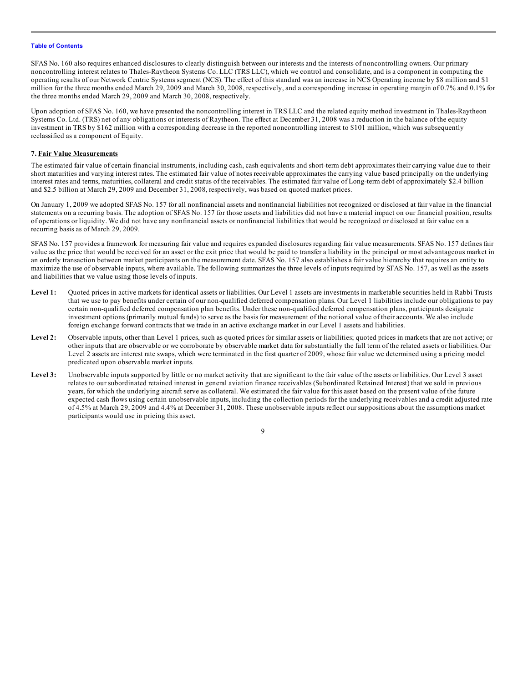SFAS No. 160 also requires enhanced disclosures to clearly distinguish between our interests and the interests of noncontrolling owners. Our primary noncontrolling interest relates to Thales-Raytheon Systems Co. LLC (TRS LLC), which we control and consolidate, and is a component in computing the operating results of our Network Centric Systems segment (NCS). The effect of this standard was an increase in NCS Operating income by \$8 million and \$1 million for the three months ended March 29, 2009 and March 30, 2008, respectively, and a corresponding increase in operating margin of 0.7% and 0.1% for the three months ended March 29, 2009 and March 30, 2008, respectively.

Upon adoption of SFAS No. 160, we have presented the noncontrolling interest in TRS LLC and the related equity method investment in Thales-Raytheon Systems Co. Ltd. (TRS) net of any obligations or interests of Raytheon. The effect at December 31, 2008 was a reduction in the balance of the equity investment in TRS by \$162 million with a corresponding decrease in the reported noncontrolling interest to \$101 million, which was subsequently reclassified as a component of Equity.

#### **7. Fair Value Measurements**

The estimated fair value of certain financial instruments, including cash, cash equivalents and short-term debt approximates their carrying value due to their short maturities and varying interest rates. The estimated fair value of notes receivable approximates the carrying value based principally on the underlying interest rates and terms, maturities, collateral and credit status of the receivables. The estimated fair value of Long-term debt of approximately \$2.4 billion and \$2.5 billion at March 29, 2009 and December 31, 2008, respectively, was based on quoted market prices.

On January 1, 2009 we adopted SFAS No. 157 for all nonfinancial assets and nonfinancial liabilities not recognized or disclosed at fair value in the financial statements on a recurring basis. The adoption of SFAS No. 157 for those assets and liabilities did not have a material impact on our financial position, results of operations or liquidity. We did not have any nonfinancial assets or nonfinancial liabilities that would be recognized or disclosed at fair value on a recurring basis as of March 29, 2009.

SFAS No. 157 provides a framework for measuring fair value and requires expanded disclosures regarding fair value measurements. SFAS No. 157 defines fair value as the price that would be received for an asset or the exit price that would be paid to transfer a liability in the principal or most advantageous market in an orderly transaction between market participants on the measurement date. SFAS No. 157 also establishes a fair value hierarchy that requires an entity to maximize the use of observable inputs, where available. The following summarizes the three levels of inputs required by SFAS No. 157, as well as the assets and liabilities that we value using those levels of inputs.

- **Level 1:** Quoted prices in active markets for identical assets or liabilities. Our Level 1 assets are investments in marketable securities held in Rabbi Trusts that we use to pay benefits under certain of our non-qualified deferred compensation plans. Our Level 1 liabilities include our obligations to pay certain non-qualified deferred compensation plan benefits. Under these non-qualified deferred compensation plans, participants designate investment options (primarily mutual funds) to serve as the basis for measurement of the notional value of their accounts. We also include foreign exchange forward contracts that we trade in an active exchange market in our Level 1 assets and liabilities.
- **Level 2:** Observable inputs, other than Level 1 prices, such as quoted prices for similar assets or liabilities; quoted prices in markets that are not active; or other inputs that are observable or we corroborate by observable market data for substantially the full term of the related assets or liabilities. Our Level 2 assets are interest rate swaps, which were terminated in the first quarter of 2009, whose fair value we determined using a pricing model predicated upon observable market inputs.
- Level 3: Unobservable inputs supported by little or no market activity that are significant to the fair value of the assets or liabilities. Our Level 3 asset relates to our subordinated retained interest in general aviation finance receivables (Subordinated Retained Interest) that we sold in previous years, for which the underlying aircraft serve as collateral. We estimated the fair value for this asset based on the present value of the future expected cash flows using certain unobservable inputs, including the collection periods for the underlying receivables and a credit adjusted rate of 4.5% at March 29, 2009 and 4.4% at December 31, 2008. These unobservable inputs reflect our suppositions about the assumptions market participants would use in pricing this asset.

 $\alpha$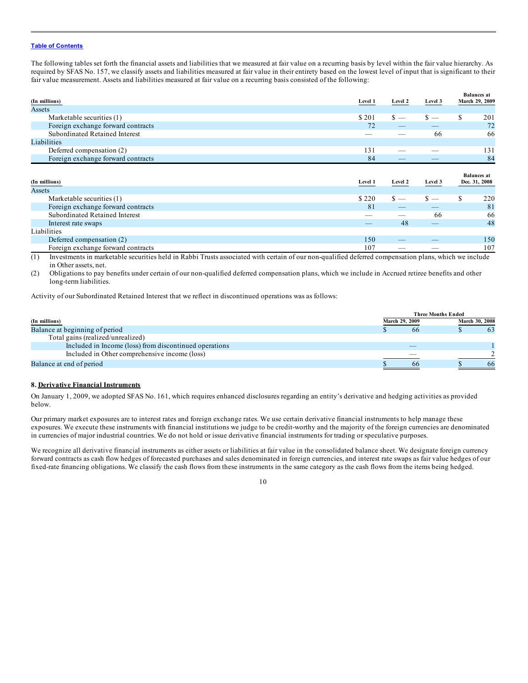The following tables set forth the financial assets and liabilities that we measured at fair value on a recurring basis by level within the fair value hierarchy. As required by SFAS No. 157, we classify assets and liabilities measured at fair value in their entirety based on the lowest level of input that is significant to their fair value measurement. Assets and liabilities measured at fair value on a recurring basis consisted of the following:

| (In millions)                      | Level 1 | Level 2        | Level 3        |     | <b>Balances</b> at<br>March 29, 2009 |
|------------------------------------|---------|----------------|----------------|-----|--------------------------------------|
| Assets                             |         |                |                |     |                                      |
| Marketable securities (1)          | \$201   | $\mathbf{s}$ — | $\mathbf{s} =$ | \$  | 201                                  |
| Foreign exchange forward contracts | 72      |                |                |     | 72                                   |
| Subordinated Retained Interest     |         |                | 66             |     | 66                                   |
| Liabilities                        |         |                |                |     |                                      |
| Deferred compensation (2)          | 131     |                |                |     | 131                                  |
| Foreign exchange forward contracts | 84      |                |                |     | 84                                   |
|                                    |         |                |                |     |                                      |
| (In millions)                      | Level 1 | Level 2        | Level 3        |     | <b>Balances</b> at<br>Dec. 31, 2008  |
| Assets                             |         |                |                |     |                                      |
| Marketable securities (1)          | \$220   | $\mathbf{s}$ — | $\mathbf{s} =$ | \$. | 220                                  |
| Foreign exchange forward contracts | 81      |                | __             |     | 81                                   |
| Subordinated Retained Interest     |         |                | 66             |     | 66                                   |
| Interest rate swaps                |         | 48             |                |     | 48                                   |
| Liabilities                        |         |                |                |     |                                      |
| Deferred compensation (2)          | 150     |                |                |     | 150                                  |

(1) Investments in marketable securities held in Rabbi Trusts associated with certain of our non-qualified deferred compensation plans, which we include in Other assets, net.

(2) Obligations to pay benefits under certain of our non-qualified deferred compensation plans, which we include in Accrued retiree benefits and other long-term liabilities.

Activity of our Subordinated Retained Interest that we reflect in discontinued operations was as follows:

|                                                        |  |                       | <b>Three Months Ended</b> |     |  |  |
|--------------------------------------------------------|--|-----------------------|---------------------------|-----|--|--|
| (In millions)                                          |  | <b>March 29, 2009</b> | March 30, 2008            |     |  |  |
| Balance at beginning of period                         |  | 66                    |                           | 63  |  |  |
| Total gains (realized/unrealized)                      |  |                       |                           |     |  |  |
| Included in Income (loss) from discontinued operations |  |                       |                           |     |  |  |
| Included in Other comprehensive income (loss)          |  |                       |                           |     |  |  |
| Balance at end of period                               |  | .66                   |                           | -66 |  |  |

#### **8. Derivative Financial Instruments**

On January 1, 2009, we adopted SFAS No. 161, which requires enhanced disclosures regarding an entity's derivative and hedging activities as provided below.

Our primary market exposures are to interest rates and foreign exchange rates. We use certain derivative financial instruments to help manage these exposures. We execute these instruments with financial institutions we judge to be credit-worthy and the majority of the foreign currencies are denominated in currencies of major industrial countries. We do not hold or issue derivative financial instruments for trading or speculative purposes.

We recognize all derivative financial instruments as either assets or liabilities at fair value in the consolidated balance sheet. We designate foreign currency forward contracts as cash flow hedges of forecasted purchases and sales denominated in foreign currencies, and interest rate swaps as fair value hedges of our fixed-rate financing obligations. We classify the cash flows from these instruments in the same category as the cash flows from the items being hedged.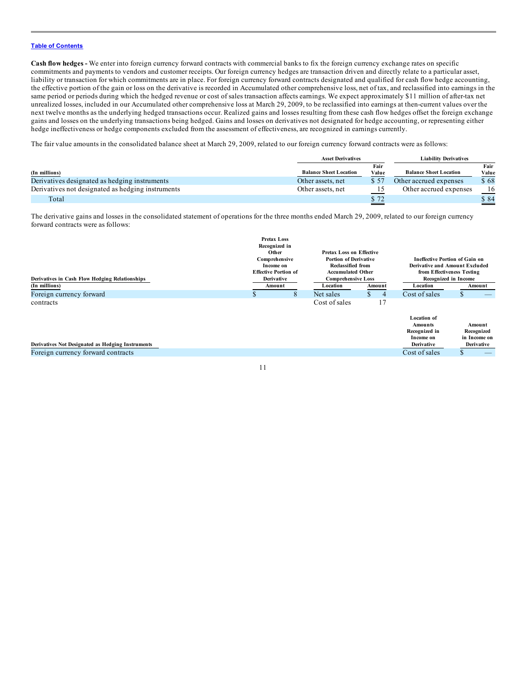**Cash flow hedges -** We enter into foreign currency forward contracts with commercial banks to fix the foreign currency exchange rates on specific commitments and payments to vendors and customer receipts. Our foreign currency hedges are transaction driven and directly relate to a particular asset, liability or transaction for which commitments are in place. For foreign currency forward contracts designated and qualified for cash flow hedge accounting, the effective portion of the gain or loss on the derivative is recorded in Accumulated other comprehensive loss, net of tax, and reclassified into earnings in the same period or periods during which the hedged revenue or cost of sales transaction affects earnings. We expect approximately \$11 million of after-tax net unrealized losses, included in our Accumulated other comprehensive loss at March 29, 2009, to be reclassified into earnings at then-current values over the next twelve months as the underlying hedged transactions occur. Realized gains and losses resulting from these cash flow hedges offset the foreign exchange gains and losses on the underlying transactions being hedged. Gains and losses on derivatives not designated for hedge accounting, or representing either hedge ineffectiveness or hedge components excluded from the assessment of effectiveness, are recognized in earnings currently.

The fair value amounts in the consolidated balance sheet at March 29, 2009, related to our foreign currency forward contracts were as follows:

|                                                   | <b>Asset Derivatives</b>      |                 |                               | <b>Liability Derivatives</b> |  |  |
|---------------------------------------------------|-------------------------------|-----------------|-------------------------------|------------------------------|--|--|
| (In millions)                                     | <b>Balance Sheet Location</b> | Fair<br>Value   | <b>Balance Sheet Location</b> | Fair<br>Value                |  |  |
| Derivatives designated as hedging instruments     | Other assets, net             | \$57            | Other accrued expenses        | \$68                         |  |  |
| Derivatives not designated as hedging instruments | Other assets, net             | $\overline{15}$ | Other accrued expenses        | 16                           |  |  |
| Total                                             |                               | \$72            |                               | \$84                         |  |  |

The derivative gains and losses in the consolidated statement of operations for the three months ended March 29, 2009, related to our foreign currency forward contracts were as follows:

|                                                   | <b>Pretax Loss</b>          |                                 |                      |                                                             |                                      |
|---------------------------------------------------|-----------------------------|---------------------------------|----------------------|-------------------------------------------------------------|--------------------------------------|
|                                                   | Recognized in               |                                 |                      |                                                             |                                      |
|                                                   | Other                       | <b>Pretax Loss on Effective</b> |                      |                                                             |                                      |
|                                                   | Comprehensive               | <b>Portion of Derivative</b>    |                      | <b>Ineffective Portion of Gain on</b>                       |                                      |
|                                                   | Income on                   | <b>Reclassified from</b>        |                      | Derivative and Amount Excluded                              |                                      |
|                                                   | <b>Effective Portion of</b> | <b>Accumulated Other</b>        |                      | from Effectiveness Testing                                  |                                      |
| Derivatives in Cash Flow Hedging Relationships    | <b>Derivative</b>           | <b>Comprehensive Loss</b>       |                      | Recognized in Income                                        |                                      |
| (In millions)                                     | Amount                      | Location                        | Amount               | Location                                                    | Amount                               |
| Foreign currency forward                          | 8                           | Net sales                       | \$<br>$\overline{4}$ | Cost of sales                                               |                                      |
| contracts                                         |                             | Cost of sales                   | 17                   |                                                             |                                      |
|                                                   |                             |                                 |                      | <b>Location</b> of<br>Amounts<br>Recognized in<br>Income on | Amount<br>Recognized<br>in Income on |
| Derivatives Not Designated as Hedging Instruments |                             |                                 |                      | Derivative                                                  | Derivative                           |
| Foreign currency forward contracts                |                             |                                 |                      | Cost of sales                                               |                                      |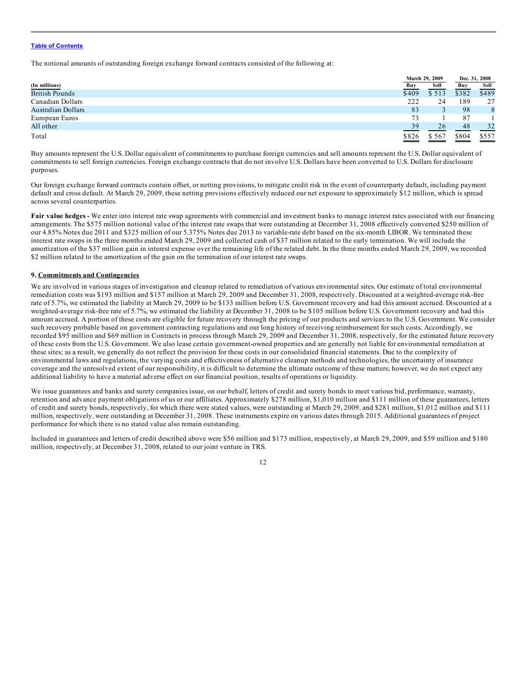The notional amounts of outstanding foreign exchange forward contracts consisted of the following at:

|                       |       | March 29, 2009 | Dec. 31, 2008 |       |
|-----------------------|-------|----------------|---------------|-------|
| (In millions)         | Buy   | Sell           | Buy           | Sell  |
| <b>British Pounds</b> | \$409 | \$513          | \$382         | \$489 |
| Canadian Dollars      | 222   | 24             | 189           | 27    |
| Australian Dollars    | 83    |                | 98            | 8     |
| European Euros        | 73    |                | 87            |       |
| All other             | 39    | 26             | 48            | 32    |
| Total                 | \$826 | \$ 567         | \$804         | \$557 |

Buy amounts represent the U.S. Dollar equivalent of commitments to purchase foreign currencies and sell amounts represent the U.S. Dollar equivalent of commitments to sell foreign currencies. Foreign exchange contracts that do not involve U.S. Dollars have been converted to U.S. Dollars for disclosure purposes.

Our foreign exchange forward contracts contain offset, or netting provisions, to mitigate credit risk in the event of counterparty default, including payment default and cross default. At March 29, 2009, these netting provisions effectively reduced our net exposure to approximately \$12 million, which is spread across several counterparties.

**Fair value hedges -** We enter into interest rate swap agreements with commercial and investment banks to manage interest rates associated with our financing arrangements. The \$575 million notional value of the interest rate swaps that were outstanding at December 31, 2008 effectively converted \$250 million of our 4.85% Notes due 2011 and \$325 million of our 5.375% Notes due 2013 to variable-rate debt based on the six-month LIBOR. We terminated these interest rate swaps in the three months ended March 29, 2009 and collected cash of \$37 million related to the early termination. We will include the amortization of the \$37 million gain in interest expense over the remaining life of the related debt. In the three months ended March 29, 2009, we recorded \$2 million related to the amortization of the gain on the termination of our interest rate swaps.

#### **9. Commitments and Contingencies**

We are involved in various stages of investigation and cleanup related to remediation of various environmental sites. Our estimate of total environmental remediation costs was \$193 million and \$157 million at March 29, 2009 and December 31, 2008, respectively. Discounted at a weighted-average risk-free rate of 5.7%, we estimated the liability at March 29, 2009 to be \$133 million before U.S. Government recovery and had this amount accrued. Discounted at a weighted-average risk-free rate of 5.7%, we estimated the liability at December 31, 2008 to be \$105 million before U.S. Government recovery and had this amount accrued. A portion of these costs are eligible for future recovery through the pricing of our products and services to the U.S. Government. We consider such recovery probable based on government contracting regulations and our long history of receiving reimbursement for such costs. Accordingly, we recorded \$95 million and \$69 million in Contracts in process through March 29, 2009 and December 31, 2008, respectively, for the estimated future recovery of these costs from the U.S. Government. We also lease certain government-owned properties and are generally not liable for environmental remediation at these sites; as a result, we generally do not reflect the provision for these costs in our consolidated financial statements. Due to the complexity of environmental laws and regulations, the varying costs and effectiveness of alternative cleanup methods and technologies, the uncertainty of insurance coverage and the unresolved extent of our responsibility, it is difficult to determine the ultimate outcome of these matters; however, we do not expect any additional liability to have a material adverse effect on our financial position, results of operations or liquidity.

We issue guarantees and banks and surety companies issue, on our behalf, letters of credit and surety bonds to meet various bid, performance, warranty, retention and advance payment obligations of us or our affiliates. Approximately \$278 million, \$1,010 million and \$111 million of these guarantees, letters of credit and surety bonds, respectively, for which there were stated values, were outstanding at March 29, 2009, and \$281 million, \$1,012 million and \$111 million, respectively, were outstanding at December 31, 2008. These instruments expire on various dates through 2015. Additional guarantees of project performance for which there is no stated value also remain outstanding.

Included in guarantees and letters of credit described above were \$56 million and \$173 million, respectively, at March 29, 2009, and \$59 million and \$180 million, respectively, at December 31, 2008, related to our joint venture in TRS.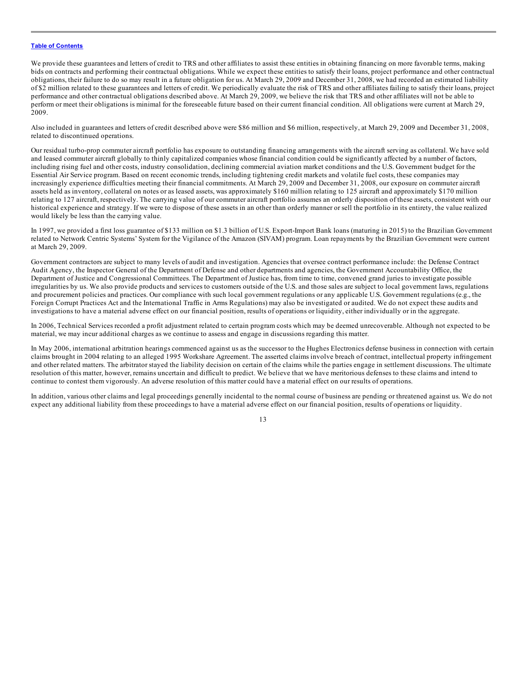We provide these guarantees and letters of credit to TRS and other affiliates to assist these entities in obtaining financing on more favorable terms, making bids on contracts and performing their contractual obligations. While we expect these entities to satisfy their loans, project performance and other contractual obligations, their failure to do so may result in a future obligation for us. At March 29, 2009 and December 31, 2008, we had recorded an estimated liability of \$2 million related to these guarantees and letters of credit. We periodically evaluate the risk of TRS and other affiliates failing to satisfy their loans, project performance and other contractual obligations described above. At March 29, 2009, we believe the risk that TRS and other affiliates will not be able to perform or meet their obligations is minimal for the foreseeable future based on their current financial condition. All obligations were current at March 29, 2009.

Also included in guarantees and letters of credit described above were \$86 million and \$6 million, respectively, at March 29, 2009 and December 31, 2008, related to discontinued operations.

Our residual turbo-prop commuter aircraft portfolio has exposure to outstanding financing arrangements with the aircraft serving as collateral. We have sold and leased commuter aircraft globally to thinly capitalized companies whose financial condition could be significantly affected by a number of factors, including rising fuel and other costs, industry consolidation, declining commercial aviation market conditions and the U.S. Government budget for the Essential Air Service program. Based on recent economic trends, including tightening credit markets and volatile fuel costs, these companies may increasingly experience difficulties meeting their financial commitments. At March 29, 2009 and December 31, 2008, our exposure on commuter aircraft assets held as inventory, collateral on notes or as leased assets, was approximately \$160 million relating to 125 aircraft and approximately \$170 million relating to 127 aircraft, respectively. The carrying value of our commuter aircraft portfolio assumes an orderly disposition of these assets, consistent with our historical experience and strategy. If we were to dispose of these assets in an other than orderly manner or sell the portfolio in its entirety, the value realized would likely be less than the carrying value.

In 1997, we provided a first loss guarantee of \$133 million on \$1.3 billion of U.S. Export-Import Bank loans (maturing in 2015) to the Brazilian Government related to Network Centric Systems' System for the Vigilance of the Amazon (SIVAM) program. Loan repayments by the Brazilian Government were current at March 29, 2009.

Government contractors are subject to many levels of audit and investigation. Agencies that oversee contract performance include: the Defense Contract Audit Agency, the Inspector General of the Department of Defense and other departments and agencies, the Government Accountability Office, the Department of Justice and Congressional Committees. The Department of Justice has, from time to time, convened grand juries to investigate possible irregularities by us. We also provide products and services to customers outside of the U.S. and those sales are subject to local government laws, regulations and procurement policies and practices. Our compliance with such local government regulations or any applicable U.S. Government regulations (e.g., the Foreign Corrupt Practices Act and the International Traffic in Arms Regulations) may also be investigated or audited. We do not expect these audits and investigations to have a material adverse effect on our financial position, results of operations or liquidity, either individually or in the aggregate.

In 2006, Technical Services recorded a profit adjustment related to certain program costs which may be deemed unrecoverable. Although not expected to be material, we may incur additional charges as we continue to assess and engage in discussions regarding this matter.

In May 2006, international arbitration hearings commenced against us as the successor to the Hughes Electronics defense business in connection with certain claims brought in 2004 relating to an alleged 1995 Workshare Agreement. The asserted claims involve breach of contract, intellectual property infringement and other related matters. The arbitrator stayed the liability decision on certain of the claims while the parties engage in settlement discussions. The ultimate resolution of this matter, however, remains uncertain and difficult to predict. We believe that we have meritorious defenses to these claims and intend to continue to contest them vigorously. An adverse resolution of this matter could have a material effect on our results of operations.

In addition, various other claims and legal proceedings generally incidental to the normal course of business are pending or threatened against us. We do not expect any additional liability from these proceedings to have a material adverse effect on our financial position, results of operations or liquidity.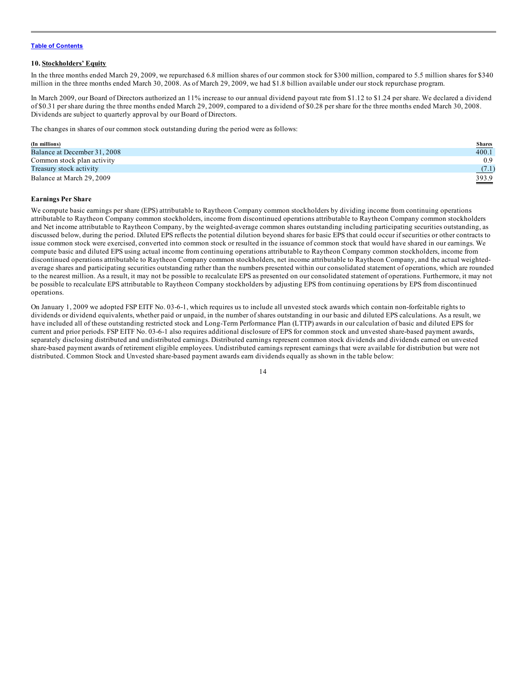#### **10. Stockholders' Equity**

In the three months ended March 29, 2009, we repurchased 6.8 million shares of our common stock for \$300 million, compared to 5.5 million shares for \$340 million in the three months ended March 30, 2008. As of March 29, 2009, we had \$1.8 billion available under our stock repurchase program.

In March 2009, our Board of Directors authorized an 11% increase to our annual dividend payout rate from \$1.12 to \$1.24 per share. We declared a dividend of \$0.31 per share during the three months ended March 29, 2009, compared to a dividend of \$0.28 per share for the three months ended March 30, 2008. Dividends are subject to quarterly approval by our Board of Directors.

The changes in shares of our common stock outstanding during the period were as follows:

| (In millions)                | <b>Shares</b>     |
|------------------------------|-------------------|
| Balance at December 31, 2008 | $\frac{400.1}{ }$ |
| Common stock plan activity   | 0.9               |
| Treasury stock activity      | (7.1)             |
| Balance at March 29, 2009    | 393.9             |

#### **Earnings Per Share**

We compute basic earnings per share (EPS) attributable to Raytheon Company common stockholders by dividing income from continuing operations attributable to Raytheon Company common stockholders, income from discontinued operations attributable to Raytheon Company common stockholders and Net income attributable to Raytheon Company, by the weighted-average common shares outstanding including participating securities outstanding, as discussed below, during the period. Diluted EPS reflects the potential dilution beyond shares for basic EPS that could occur if securities or other contracts to issue common stock were exercised, converted into common stock or resulted in the issuance of common stock that would have shared in our earnings. We compute basic and diluted EPS using actual income from continuing operations attributable to Raytheon Company common stockholders, income from discontinued operations attributable to Raytheon Company common stockholders, net income attributable to Raytheon Company, and the actual weightedaverage shares and participating securities outstanding rather than the numbers presented within our consolidated statement of operations, which are rounded to the nearest million. As a result, it may not be possible to recalculate EPS as presented on our consolidated statement of operations. Furthermore, it may not be possible to recalculate EPS attributable to Raytheon Company stockholders by adjusting EPS from continuing operations by EPS from discontinued operations.

On January 1, 2009 we adopted FSP EITF No. 03-6-1, which requires us to include all unvested stock awards which contain non-forfeitable rights to dividends or dividend equivalents, whether paid or unpaid, in the number of shares outstanding in our basic and diluted EPS calculations. As a result, we have included all of these outstanding restricted stock and Long-Term Performance Plan (LTTP) awards in our calculation of basic and diluted EPS for current and prior periods. FSP EITF No. 03-6-1 also requires additional disclosure of EPS for common stock and unvested share-based payment awards, separately disclosing distributed and undistributed earnings. Distributed earnings represent common stock dividends and dividends earned on unvested share-based payment awards of retirement eligible employees. Undistributed earnings represent earnings that were available for distribution but were not distributed. Common Stock and Unvested share-based payment awards earn dividends equally as shown in the table below:

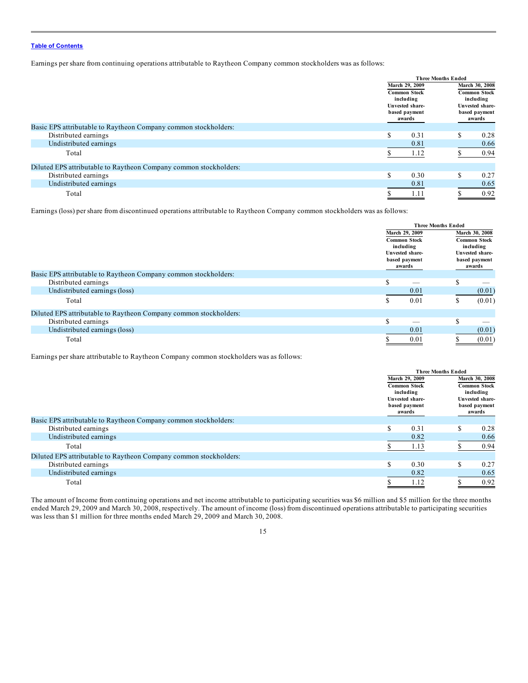Earnings per share from continuing operations attributable to Raytheon Company common stockholders was as follows:

|                                                                   |   | <b>Three Months Ended</b>                                                      |                |                                                                      |
|-------------------------------------------------------------------|---|--------------------------------------------------------------------------------|----------------|----------------------------------------------------------------------|
|                                                                   |   | March 29, 2009                                                                 | March 30, 2008 |                                                                      |
|                                                                   |   | <b>Common Stock</b><br>including<br>Unvested share-<br>based payment<br>awards |                | <b>Common Stock</b><br>including<br>Unvested share-<br>based payment |
| Basic EPS attributable to Raytheon Company common stockholders:   |   |                                                                                |                |                                                                      |
| Distributed earnings                                              | S | 0.31                                                                           | 0.28           |                                                                      |
| Undistributed earnings                                            |   | 0.81                                                                           | 0.66           |                                                                      |
| Total                                                             |   | 1.12                                                                           | 0.94           |                                                                      |
| Diluted EPS attributable to Raytheon Company common stockholders: |   |                                                                                |                |                                                                      |
| Distributed earnings                                              | S | 0.30                                                                           | 0.27           |                                                                      |
| Undistributed earnings                                            |   | 0.81                                                                           | 0.65           |                                                                      |
| Total                                                             |   | 1.11                                                                           | 0.92           |                                                                      |

Earnings (loss) per share from discontinued operations attributable to Raytheon Company common stockholders was as follows:

|                                                                   |   | <b>Three Months Ended</b>                                                                        |    |                                                                                |
|-------------------------------------------------------------------|---|--------------------------------------------------------------------------------------------------|----|--------------------------------------------------------------------------------|
|                                                                   |   | March 29, 2009<br><b>Common Stock</b><br>including<br>Unvested share-<br>based payment<br>awards |    | March 30, 2008                                                                 |
|                                                                   |   |                                                                                                  |    | <b>Common Stock</b><br>including<br>Unvested share-<br>based payment<br>awards |
| Basic EPS attributable to Raytheon Company common stockholders:   |   |                                                                                                  |    |                                                                                |
| Distributed earnings                                              | ς |                                                                                                  | ¢  |                                                                                |
| Undistributed earnings (loss)                                     |   | 0.01                                                                                             |    | (0.01)                                                                         |
| Total                                                             |   | 0.01                                                                                             | J. | (0.01)                                                                         |
| Diluted EPS attributable to Raytheon Company common stockholders: |   |                                                                                                  |    |                                                                                |
| Distributed earnings                                              | ፍ |                                                                                                  | ٩  |                                                                                |
| Undistributed earnings (loss)                                     |   | 0.01                                                                                             |    | (0.01)                                                                         |
| Total                                                             |   | 0.01                                                                                             |    | (0.01)                                                                         |

Earnings per share attributable to Raytheon Company common stockholders was as follows:

|                                                                   |   | <b>Three Months Ended</b>                                                      |                |      |  |                                                                                |  |
|-------------------------------------------------------------------|---|--------------------------------------------------------------------------------|----------------|------|--|--------------------------------------------------------------------------------|--|
|                                                                   |   | March 29, 2009                                                                 | March 30, 2008 |      |  |                                                                                |  |
|                                                                   |   | <b>Common Stock</b><br>including<br>Unvested share-<br>based payment<br>awards |                |      |  | <b>Common Stock</b><br>including<br>Unvested share-<br>based payment<br>awards |  |
| Basic EPS attributable to Raytheon Company common stockholders:   |   |                                                                                |                |      |  |                                                                                |  |
| Distributed earnings                                              | S | 0.31                                                                           |                | 0.28 |  |                                                                                |  |
| Undistributed earnings                                            |   | 0.82                                                                           |                | 0.66 |  |                                                                                |  |
| Total                                                             |   | 1.13                                                                           |                | 0.94 |  |                                                                                |  |
| Diluted EPS attributable to Raytheon Company common stockholders: |   |                                                                                |                |      |  |                                                                                |  |
| Distributed earnings                                              | ¢ | 0.30                                                                           |                | 0.27 |  |                                                                                |  |
| Undistributed earnings                                            |   | 0.82                                                                           |                | 0.65 |  |                                                                                |  |
| Total                                                             |   | 1.12                                                                           |                | 0.92 |  |                                                                                |  |

The amount of Income from continuing operations and net income attributable to participating securities was \$6 million and \$5 million for the three months ended March 29, 2009 and March 30, 2008, respectively. The amount of income (loss) from discontinued operations attributable to participating securities was less than \$1 million for three months ended March 29, 2009 and March 30, 2008.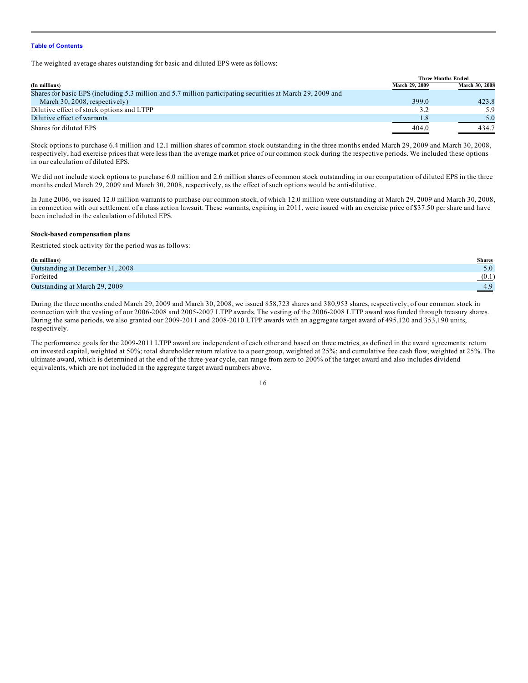The weighted-average shares outstanding for basic and diluted EPS were as follows:

|                                                                                                            |                       | <b>Three Months Ended</b> |
|------------------------------------------------------------------------------------------------------------|-----------------------|---------------------------|
| (In millions)                                                                                              | <b>March 29, 2009</b> | <b>March 30, 2008</b>     |
| Shares for basic EPS (including 5.3 million and 5.7 million participating securities at March 29, 2009 and |                       |                           |
| March 30, 2008, respectively)                                                                              | 399.0                 | 423.8                     |
| Dilutive effect of stock options and LTPP                                                                  |                       | 5.9                       |
| Dilutive effect of warrants                                                                                |                       | 5.0                       |
| Shares for diluted EPS                                                                                     | 404.0                 | 434.7                     |

Stock options to purchase 6.4 million and 12.1 million shares of common stock outstanding in the three months ended March 29, 2009 and March 30, 2008, respectively, had exercise prices that were less than the average market price of our common stock during the respective periods. We included these options in our calculation of diluted EPS.

We did not include stock options to purchase 6.0 million and 2.6 million shares of common stock outstanding in our computation of diluted EPS in the three months ended March 29, 2009 and March 30, 2008, respectively, as the effect of such options would be anti-dilutive.

In June 2006, we issued 12.0 million warrants to purchase our common stock, of which 12.0 million were outstanding at March 29, 2009 and March 30, 2008, in connection with our settlement of a class action lawsuit. These warrants, expiring in 2011, were issued with an exercise price of \$37.50 per share and have been included in the calculation of diluted EPS.

#### **Stock-based compensation plans**

Restricted stock activity for the period was as follows:

| (In millions)                    | <b>Shares</b> |
|----------------------------------|---------------|
| Outstanding at December 31, 2008 | 5.0           |
| Forfeited                        | (0.1)         |
| Outstanding at March 29, 2009    | 4.9           |
|                                  |               |

During the three months ended March 29, 2009 and March 30, 2008, we issued 858,723 shares and 380,953 shares, respectively, of our common stock in connection with the vesting of our 2006-2008 and 2005-2007 LTPP awards. The vesting of the 2006-2008 LTTP award was funded through treasury shares. During the same periods, we also granted our 2009-2011 and 2008-2010 LTPP awards with an aggregate target award of 495,120 and 353,190 units, respectively.

The performance goals for the 2009-2011 LTPP award are independent of each other and based on three metrics, as defined in the award agreements: return on invested capital, weighted at 50%; total shareholder return relative to a peer group, weighted at 25%; and cumulative free cash flow, weighted at 25%. The ultimate award, which is determined at the end of the three-year cycle, can range from zero to 200% of the target award and also includes dividend equivalents, which are not included in the aggregate target award numbers above.

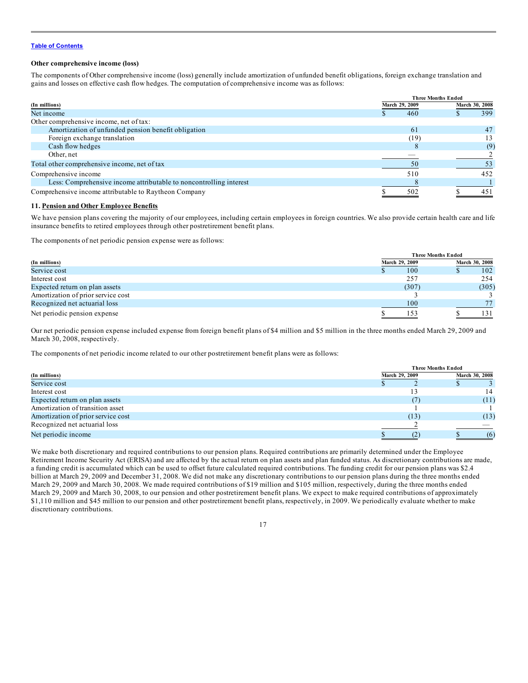#### **Other comprehensive income (loss)**

The components of Other comprehensive income (loss) generally include amortization of unfunded benefit obligations, foreign exchange translation and gains and losses on effective cash flow hedges. The computation of comprehensive income was as follows:

|                                                                    | <b>Three Months Ended</b> |                |                |  |  |
|--------------------------------------------------------------------|---------------------------|----------------|----------------|--|--|
| (In millions)                                                      |                           | March 29, 2009 | March 30, 2008 |  |  |
| Net income                                                         |                           | 460            | 399            |  |  |
| Other comprehensive income, net of tax:                            |                           |                |                |  |  |
| Amortization of unfunded pension benefit obligation                |                           | 61             | 47             |  |  |
| Foreign exchange translation                                       |                           | (19)           |                |  |  |
| Cash flow hedges                                                   |                           | ŏ              | (9)            |  |  |
| Other, net                                                         |                           |                |                |  |  |
| Total other comprehensive income, net of tax                       |                           | 50             | 53             |  |  |
| Comprehensive income                                               |                           | 510            | 452            |  |  |
| Less: Comprehensive income attributable to noncontrolling interest |                           |                |                |  |  |
| Comprehensive income attributable to Raytheon Company              |                           | 502            | 45             |  |  |

#### **11. Pension and Other Employee Benefits**

We have pension plans covering the majority of our employees, including certain employees in foreign countries. We also provide certain health care and life insurance benefits to retired employees through other postretirement benefit plans.

The components of net periodic pension expense were as follows:

|                                    | <b>Three Months Ended</b> |                       |  |                |  |  |
|------------------------------------|---------------------------|-----------------------|--|----------------|--|--|
| (In millions)                      |                           | <b>March 29, 2009</b> |  | March 30, 2008 |  |  |
| Service cost                       |                           | 100                   |  | 102            |  |  |
| Interest cost                      |                           | 257                   |  | 254            |  |  |
| Expected return on plan assets     |                           | (307)                 |  | (305)          |  |  |
| Amortization of prior service cost |                           |                       |  |                |  |  |
| Recognized net actuarial loss      |                           | 100                   |  | 77             |  |  |
| Net periodic pension expense       |                           | 153                   |  |                |  |  |

Our net periodic pension expense included expense from foreign benefit plans of \$4 million and \$5 million in the three months ended March 29, 2009 and March 30, 2008, respectively.

The components of net periodic income related to our other postretirement benefit plans were as follows:

|                                    |                       | <b>Three Months Ended</b> |
|------------------------------------|-----------------------|---------------------------|
| (In millions)                      | <b>March 29, 2009</b> | <b>March 30, 2008</b>     |
| Service cost                       |                       |                           |
| Interest cost                      |                       | 14                        |
| Expected return on plan assets     |                       | (11)                      |
| Amortization of transition asset   |                       |                           |
| Amortization of prior service cost | (13)                  | (13)                      |
| Recognized net actuarial loss      |                       |                           |
| Net periodic income                |                       | (6)                       |

We make both discretionary and required contributions to our pension plans. Required contributions are primarily determined under the Employee Retirement Income Security Act (ERISA) and are affected by the actual return on plan assets and plan funded status. As discretionary contributions are made, a funding credit is accumulated which can be used to offset future calculated required contributions. The funding credit for our pension plans was \$2.4 billion at March 29, 2009 and December 31, 2008. We did not make any discretionary contributions to our pension plans during the three months ended March 29, 2009 and March 30, 2008. We made required contributions of \$19 million and \$105 million, respectively, during the three months ended March 29, 2009 and March 30, 2008, to our pension and other postretirement benefit plans. We expect to make required contributions of approximately \$1,110 million and \$45 million to our pension and other postretirement benefit plans, respectively, in 2009. We periodically evaluate whether to make discretionary contributions.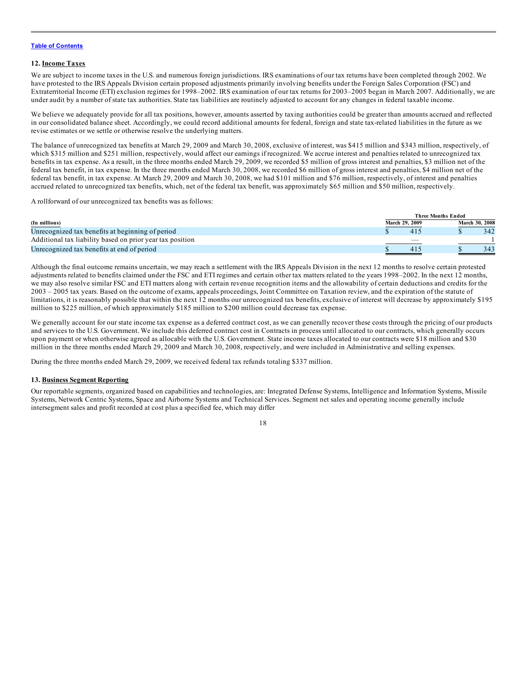#### **12. Income Taxes**

We are subject to income taxes in the U.S. and numerous foreign jurisdictions. IRS examinations of our tax returns have been completed through 2002. We have protested to the IRS Appeals Division certain proposed adjustments primarily involving benefits under the Foreign Sales Corporation (FSC) and Extraterritorial Income (ETI) exclusion regimes for 1998–2002. IRS examination of our tax returns for 2003–2005 began in March 2007. Additionally, we are under audit by a number of state tax authorities. State tax liabilities are routinely adjusted to account for any changes in federal taxable income.

We believe we adequately provide for all tax positions, however, amounts asserted by taxing authorities could be greater than amounts accrued and reflected in our consolidated balance sheet. Accordingly, we could record additional amounts for federal, foreign and state tax-related liabilities in the future as we revise estimates or we settle or otherwise resolve the underlying matters.

The balance of unrecognized tax benefits at March 29, 2009 and March 30, 2008, exclusive of interest, was \$415 million and \$343 million, respectively, of which \$315 million and \$251 million, respectively, would affect our earnings if recognized. We accrue interest and penalties related to unrecognized tax benefits in tax expense. As a result, in the three months ended March 29, 2009, we recorded \$5 million of gross interest and penalties, \$3 million net of the federal tax benefit, in tax expense. In the three months ended March 30, 2008, we recorded \$6 million of gross interest and penalties, \$4 million net of the federal tax benefit, in tax expense. At March 29, 2009 and March 30, 2008, we had \$101 million and \$76 million, respectively, of interest and penalties accrued related to unrecognized tax benefits, which, net of the federal tax benefit, was approximately \$65 million and \$50 million, respectively.

A rollforward of our unrecognized tax benefits was as follows:

|                                                           |                       | <b>Three Months Ended</b> |  |  |  |
|-----------------------------------------------------------|-----------------------|---------------------------|--|--|--|
| (In millions)                                             | <b>March 29, 2009</b> | <b>March 30, 2008</b>     |  |  |  |
| Unrecognized tax benefits at beginning of period          | 415                   | 342                       |  |  |  |
| Additional tax liability based on prior year tax position |                       |                           |  |  |  |
| Unrecognized tax benefits at end of period                | 415                   | 343                       |  |  |  |

Although the final outcome remains uncertain, we may reach a settlement with the IRS Appeals Division in the next 12 months to resolve certain protested adjustments related to benefits claimed under the FSC and ETI regimes and certain other tax matters related to the years 1998–2002. In the next 12 months, we may also resolve similar FSC and ETI matters along with certain revenue recognition items and the allowability of certain deductions and credits for the 2003 – 2005 tax years. Based on the outcome of exams, appeals proceedings, Joint Committee on Taxation review, and the expiration of the statute of limitations, it is reasonably possible that within the next 12 months our unrecognized tax benefits, exclusive of interest will decrease by approximately \$195 million to \$225 million, of which approximately \$185 million to \$200 million could decrease tax expense.

We generally account for our state income tax expense as a deferred contract cost, as we can generally recover these costs through the pricing of our products and services to the U.S. Government. We include this deferred contract cost in Contracts in process until allocated to our contracts, which generally occurs upon payment or when otherwise agreed as allocable with the U.S. Government. State income taxes allocated to our contracts were \$18 million and \$30 million in the three months ended March 29, 2009 and March 30, 2008, respectively, and were included in Administrative and selling expenses.

During the three months ended March 29, 2009, we received federal tax refunds totaling \$337 million.

#### **13. Business Segment Reporting**

Our reportable segments, organized based on capabilities and technologies, are: Integrated Defense Systems, Intelligence and Information Systems, Missile Systems, Network Centric Systems, Space and Airborne Systems and Technical Services. Segment net sales and operating income generally include intersegment sales and profit recorded at cost plus a specified fee, which may differ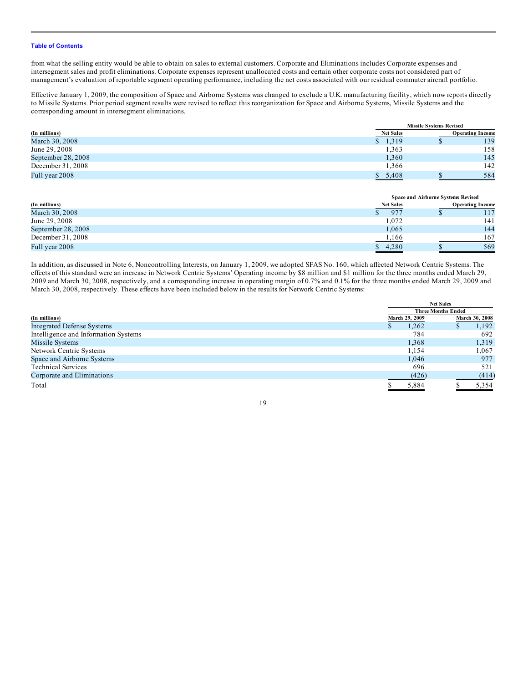from what the selling entity would be able to obtain on sales to external customers. Corporate and Eliminations includes Corporate expenses and intersegment sales and profit eliminations. Corporate expenses represent unallocated costs and certain other corporate costs not considered part of management's evaluation of reportable segment operating performance, including the net costs associated with our residual commuter aircraft portfolio.

Effective January 1, 2009, the composition of Space and Airborne Systems was changed to exclude a U.K. manufacturing facility, which now reports directly to Missile Systems. Prior period segment results were revised to reflect this reorganization for Space and Airborne Systems, Missile Systems and the corresponding amount in intersegment eliminations.

|                    |                  | <b>Missile Systems Revised</b> |                         |  |  |
|--------------------|------------------|--------------------------------|-------------------------|--|--|
| (In millions)      | <b>Net Sales</b> |                                | <b>Operating Income</b> |  |  |
| March 30, 2008     | \$1,319          |                                | 139                     |  |  |
| June 29, 2008      | 1,363            |                                | 158                     |  |  |
| September 28, 2008 | 1,360            |                                | 145                     |  |  |
| December 31, 2008  | 1,366            |                                | 142                     |  |  |
| Full year 2008     | 5,408            |                                | 584                     |  |  |

|                    |                  | <b>Space and Airborne Systems Revised</b> |                         |  |  |
|--------------------|------------------|-------------------------------------------|-------------------------|--|--|
| (In millions)      | <b>Net Sales</b> |                                           | <b>Operating Income</b> |  |  |
| March 30, 2008     | 977              |                                           |                         |  |  |
| June 29, 2008      | 1,072            |                                           | 141                     |  |  |
| September 28, 2008 | 1,065            |                                           | 144                     |  |  |
| December 31, 2008  | 1,166            |                                           | 167                     |  |  |
| Full year 2008     | \$4,280          |                                           | 569                     |  |  |

In addition, as discussed in Note 6, Noncontrolling Interests, on January 1, 2009, we adopted SFAS No. 160, which affected Network Centric Systems. The effects of this standard were an increase in Network Centric Systems' Operating income by \$8 million and \$1 million for the three months ended March 29, 2009 and March 30, 2008, respectively, and a corresponding increase in operating margin of 0.7% and 0.1% for the three months ended March 29, 2009 and March 30, 2008, respectively. These effects have been included below in the results for Network Centric Systems:

|                                      |                | <b>Net Sales</b>          |  |  |  |  |
|--------------------------------------|----------------|---------------------------|--|--|--|--|
|                                      |                | <b>Three Months Ended</b> |  |  |  |  |
| (In millions)                        | March 29, 2009 | March 30, 2008            |  |  |  |  |
| <b>Integrated Defense Systems</b>    | 1,262          | 1,192                     |  |  |  |  |
| Intelligence and Information Systems | 784            | 692                       |  |  |  |  |
| Missile Systems                      | 1,368          | 1,319                     |  |  |  |  |
| Network Centric Systems              | 1,154          | 1,067                     |  |  |  |  |
| Space and Airborne Systems           | 1.046          | 977                       |  |  |  |  |
| <b>Technical Services</b>            | 696            | 521                       |  |  |  |  |
| Corporate and Eliminations           | (426)          | (414)                     |  |  |  |  |
| Total                                | 5,884          | 5,354                     |  |  |  |  |

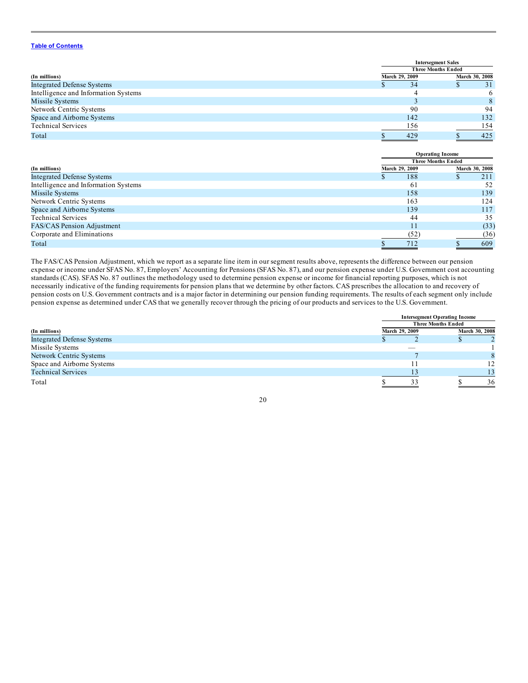|                                      | <b>Intersegment Sales</b> |                |  |                |
|--------------------------------------|---------------------------|----------------|--|----------------|
|                                      | <b>Three Months Ended</b> |                |  |                |
| (In millions)                        |                           | March 29, 2009 |  | March 30, 2008 |
| <b>Integrated Defense Systems</b>    |                           | 34             |  | 31             |
| Intelligence and Information Systems |                           |                |  | -6             |
| Missile Systems                      |                           |                |  | 8              |
| Network Centric Systems              |                           | 90             |  | 94             |
| Space and Airborne Systems           |                           | 142            |  | 132            |
| <b>Technical Services</b>            |                           | 156            |  | 154            |
| Total                                |                           | 429            |  | 425            |

|                                      |                       | <b>Operating Income</b>   |
|--------------------------------------|-----------------------|---------------------------|
|                                      |                       | <b>Three Months Ended</b> |
| (In millions)                        | <b>March 29, 2009</b> | March 30, 2008            |
| <b>Integrated Defense Systems</b>    | 188                   | 211                       |
| Intelligence and Information Systems | 61                    | 52                        |
| Missile Systems                      | 158                   | 139                       |
| Network Centric Systems              | 163                   | 124                       |
| Space and Airborne Systems           | 139                   | 117                       |
| <b>Technical Services</b>            | 44                    | 35                        |
| FAS/CAS Pension Adjustment           |                       | (33)                      |
| Corporate and Eliminations           | (52)                  | (36)                      |
| Total                                | 712                   | 609                       |

The FAS/CAS Pension Adjustment, which we report as a separate line item in our segment results above, represents the difference between our pension expense or income under SFAS No. 87, Employers' Accounting for Pensions (SFAS No. 87), and our pension expense under U.S. Government cost accounting standards (CAS). SFAS No. 87 outlines the methodology used to determine pension expense or income for financial reporting purposes, which is not necessarily indicative of the funding requirements for pension plans that we determine by other factors. CAS prescribes the allocation to and recovery of pension costs on U.S. Government contracts and is a major factor in determining our pension funding requirements. The results of each segment only include pension expense as determined under CAS that we generally recover through the pricing of our products and services to the U.S. Government.

|                                   |  | <b>Intersegment Operating Income</b> |                |    |  |
|-----------------------------------|--|--------------------------------------|----------------|----|--|
|                                   |  | <b>Three Months Ended</b>            |                |    |  |
| (In millions)                     |  | March 29, 2009                       | March 30, 2008 |    |  |
| <b>Integrated Defense Systems</b> |  |                                      |                |    |  |
| Missile Systems                   |  |                                      |                |    |  |
| Network Centric Systems           |  |                                      |                |    |  |
| Space and Airborne Systems        |  |                                      |                | 12 |  |
| <b>Technical Services</b>         |  |                                      |                |    |  |
| Total                             |  |                                      |                | 36 |  |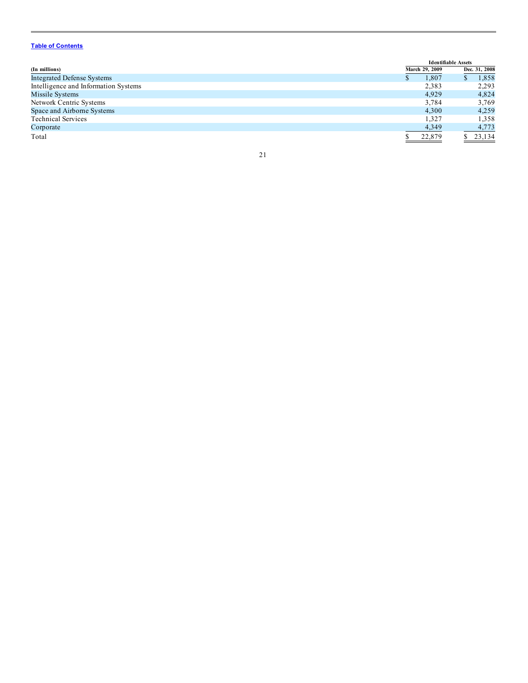|                                      |                | <b>Identifiable Assets</b> |
|--------------------------------------|----------------|----------------------------|
| (In millions)                        | March 29, 2009 | Dec. 31, 2008              |
| <b>Integrated Defense Systems</b>    | 1.807          | .858                       |
| Intelligence and Information Systems | 2,383          | 2,293                      |
| Missile Systems                      | 4.929          | 4,824                      |
| Network Centric Systems              | 3.784          | 3.769                      |
| Space and Airborne Systems           | 4.300          | 4,259                      |
| <b>Technical Services</b>            | 1.327          | 1,358                      |
| Corporate                            | 4,349          | 4,773                      |
| Total                                | 22,879         | 23,134                     |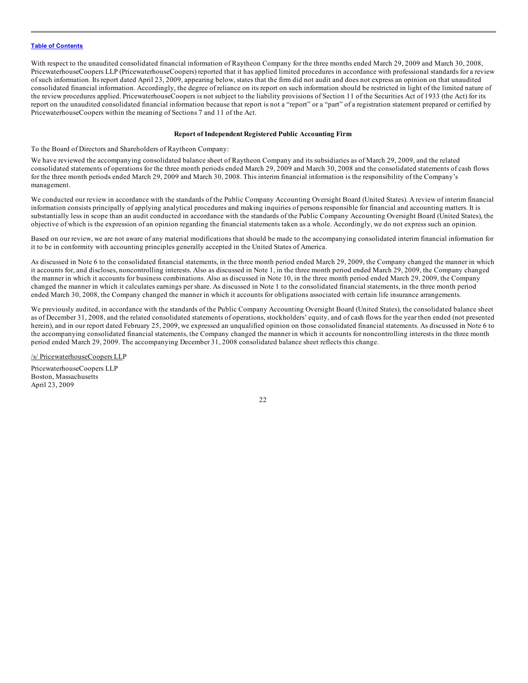<span id="page-21-0"></span>With respect to the unaudited consolidated financial information of Raytheon Company for the three months ended March 29, 2009 and March 30, 2008, PricewaterhouseCoopers LLP (PricewaterhouseCoopers) reported that it has applied limited procedures in accordance with professional standards for a review of such information. Its report dated April 23, 2009, appearing below, states that the firm did not audit and does not express an opinion on that unaudited consolidated financial information. Accordingly, the degree of reliance on its report on such information should be restricted in light of the limited nature of the review procedures applied. PricewaterhouseCoopers is not subject to the liability provisions of Section 11 of the Securities Act of 1933 (the Act) for its report on the unaudited consolidated financial information because that report is not a "report" or a "part" of a registration statement prepared or certified by PricewaterhouseCoopers within the meaning of Sections 7 and 11 of the Act.

#### **Report of Independent Registered Public Accounting Firm**

To the Board of Directors and Shareholders of Raytheon Company:

We have reviewed the accompanying consolidated balance sheet of Raytheon Company and its subsidiaries as of March 29, 2009, and the related consolidated statements of operations for the three month periods ended March 29, 2009 and March 30, 2008 and the consolidated statements of cash flows for the three month periods ended March 29, 2009 and March 30, 2008. This interim financial information is the responsibility of the Company's management.

We conducted our review in accordance with the standards of the Public Company Accounting Oversight Board (United States). A review of interim financial information consists principally of applying analytical procedures and making inquiries of persons responsible for financial and accounting matters. It is substantially less in scope than an audit conducted in accordance with the standards of the Public Company Accounting Oversight Board (United States), the objective of which is the expression of an opinion regarding the financial statements taken as a whole. Accordingly, we do not express such an opinion.

Based on our review, we are not aware of any material modifications that should be made to the accompanying consolidated interim financial information for it to be in conformity with accounting principles generally accepted in the United States of America.

As discussed in Note 6 to the consolidated financial statements, in the three month period ended March 29, 2009, the Company changed the manner in which it accounts for, and discloses, noncontrolling interests. Also as discussed in Note 1, in the three month period ended March 29, 2009, the Company changed the manner in which it accounts for business combinations. Also as discussed in Note 10, in the three month period ended March 29, 2009, the Company changed the manner in which it calculates earnings per share. As discussed in Note 1 to the consolidated financial statements, in the three month period ended March 30, 2008, the Company changed the manner in which it accounts for obligations associated with certain life insurance arrangements.

We previously audited, in accordance with the standards of the Public Company Accounting Oversight Board (United States), the consolidated balance sheet as of December 31, 2008, and the related consolidated statements of operations, stockholders' equity, and of cash flows for the year then ended (not presented herein), and in our report dated February 25, 2009, we expressed an unqualified opinion on those consolidated financial statements. As discussed in Note 6 to the accompanying consolidated financial statements, the Company changed the manner in which it accounts for noncontrolling interests in the three month period ended March 29, 2009. The accompanying December 31, 2008 consolidated balance sheet reflects this change.

/s/ PricewaterhouseCoopers LLP

PricewaterhouseCoopers LLP Boston, Massachusetts April 23, 2009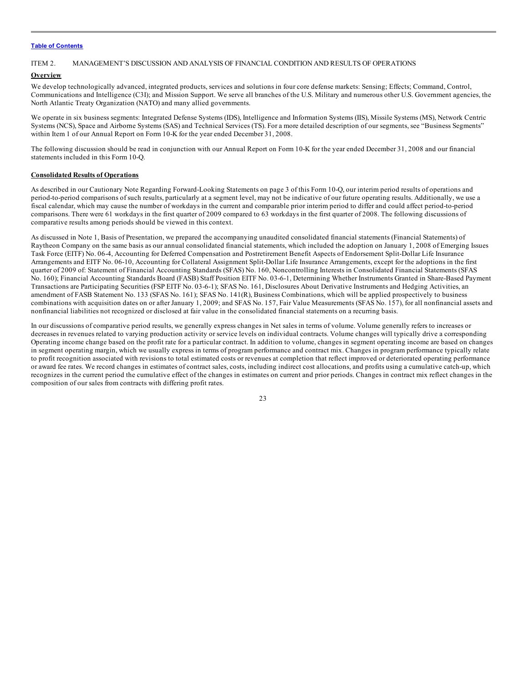#### <span id="page-22-0"></span>ITEM 2. MANAGEMENT'S DISCUSSION AND ANALYSIS OF FINANCIAL CONDITION AND RESULTS OF OPERATIONS

#### **Overview**

We develop technologically advanced, integrated products, services and solutions in four core defense markets: Sensing; Effects; Command, Control, Communications and Intelligence (C3I); and Mission Support. We serve all branches of the U.S. Military and numerous other U.S. Government agencies, the North Atlantic Treaty Organization (NATO) and many allied governments.

We operate in six business segments: Integrated Defense Systems (IDS), Intelligence and Information Systems (IIS), Missile Systems (MS), Network Centric Systems (NCS), Space and Airborne Systems (SAS) and Technical Services (TS). For a more detailed description of our segments, see "Business Segments" within Item 1 of our Annual Report on Form 10-K for the year ended December 31, 2008.

The following discussion should be read in conjunction with our Annual Report on Form 10-K for the year ended December 31, 2008 and our financial statements included in this Form 10-Q.

#### **Consolidated Results of Operations**

As described in our Cautionary Note Regarding Forward-Looking Statements on page 3 of this Form 10-Q, our interim period results of operations and period-to-period comparisons of such results, particularly at a segment level, may not be indicative of our future operating results. Additionally, we use a fiscal calendar, which may cause the number of workdays in the current and comparable prior interim period to differ and could affect period-to-period comparisons. There were 61 workdays in the first quarter of 2009 compared to 63 workdays in the first quarter of 2008. The following discussions of comparative results among periods should be viewed in this context.

As discussed in Note 1, Basis of Presentation, we prepared the accompanying unaudited consolidated financial statements (Financial Statements) of Raytheon Company on the same basis as our annual consolidated financial statements, which included the adoption on January 1, 2008 of Emerging Issues Task Force (EITF) No. 06-4, Accounting for Deferred Compensation and Postretirement Benefit Aspects of Endorsement Split-Dollar Life Insurance Arrangements and EITF No. 06-10, Accounting for Collateral Assignment Split-Dollar Life Insurance Arrangements, except for the adoptions in the first quarter of 2009 of: Statement of Financial Accounting Standards (SFAS) No. 160, Noncontrolling Interests in Consolidated Financial Statements (SFAS No. 160); Financial Accounting Standards Board (FASB) Staff Position EITF No. 03-6-1, Determining Whether Instruments Granted in Share-Based Payment Transactions are Participating Securities (FSP EITF No. 03-6-1); SFAS No. 161, Disclosures About Derivative Instruments and Hedging Activities, an amendment of FASB Statement No. 133 (SFAS No. 161); SFAS No. 141(R), Business Combinations, which will be applied prospectively to business combinations with acquisition dates on or after January 1, 2009; and SFAS No. 157, Fair Value Measurements (SFAS No. 157), for all nonfinancial assets and nonfinancial liabilities not recognized or disclosed at fair value in the consolidated financial statements on a recurring basis.

In our discussions of comparative period results, we generally express changes in Net sales in terms of volume. Volume generally refers to increases or decreases in revenues related to varying production activity or service levels on individual contracts. Volume changes will typically drive a corresponding Operating income change based on the profit rate for a particular contract. In addition to volume, changes in segment operating income are based on changes in segment operating margin, which we usually express in terms of program performance and contract mix. Changes in program performance typically relate to profit recognition associated with revisions to total estimated costs or revenues at completion that reflect improved or deteriorated operating performance or award fee rates. We record changes in estimates of contract sales, costs, including indirect cost allocations, and profits using a cumulative catch-up, which recognizes in the current period the cumulative effect of the changes in estimates on current and prior periods. Changes in contract mix reflect changes in the composition of our sales from contracts with differing profit rates.

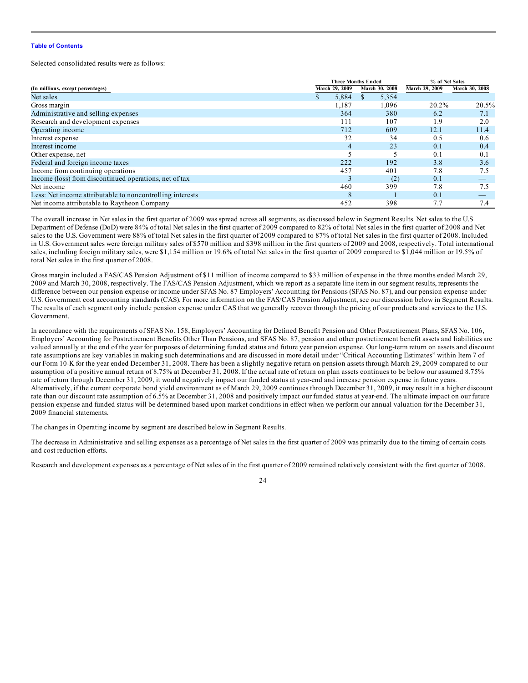Selected consolidated results were as follows:

|                                                           | <b>Three Months Ended</b> |                |  |                | % of Net Sales |                |  |
|-----------------------------------------------------------|---------------------------|----------------|--|----------------|----------------|----------------|--|
| (In millions, except percentages)                         |                           | March 29, 2009 |  | March 30, 2008 | March 29, 2009 | March 30, 2008 |  |
| Net sales                                                 |                           | 5,884          |  | 5,354          |                |                |  |
| Gross margin                                              |                           | 1,187          |  | 1,096          | 20.2%          | 20.5%          |  |
| Administrative and selling expenses                       |                           | 364            |  | 380            | 6.2            | 7.1            |  |
| Research and development expenses                         |                           | 111            |  | 107            | 1.9            | 2.0            |  |
| Operating income                                          |                           | 712            |  | 609            | 12.1           | 11.4           |  |
| Interest expense                                          |                           | 32             |  | 34             | 0.5            | 0.6            |  |
| Interest income                                           |                           | 4              |  | 23             | 0.1            | 0.4            |  |
| Other expense, net                                        |                           |                |  |                | 0.1            | 0.1            |  |
| Federal and foreign income taxes                          |                           | 222            |  | 192            | 3.8            | 3.6            |  |
| Income from continuing operations                         |                           | 457            |  | 401            | 7.8            | 7.5            |  |
| Income (loss) from discontinued operations, net of tax    |                           | -5             |  | (2)            | 0.1            | __             |  |
| Net income                                                |                           | 460            |  | 399            | 7.8            | 7.5            |  |
| Less: Net income attributable to noncontrolling interests |                           | 8              |  |                | 0.1            | $-$            |  |
| Net income attributable to Raytheon Company               |                           | 452            |  | 398            | 7.7            | 7.4            |  |

The overall increase in Net sales in the first quarter of 2009 was spread across all segments, as discussed below in Segment Results. Net sales to the U.S. Department of Defense (DoD) were 84% of total Net sales in the first quarter of 2009 compared to 82% of total Net sales in the first quarter of 2008 and Net sales to the U.S. Government were 88% of total Net sales in the first quarter of 2009 compared to 87% of total Net sales in the first quarter of 2008. Included in U.S. Government sales were foreign military sales of \$570 million and \$398 million in the first quarters of 2009 and 2008, respectively. Total international sales, including foreign military sales, were \$1,154 million or 19.6% of total Net sales in the first quarter of 2009 compared to \$1,044 million or 19.5% of total Net sales in the first quarter of 2008.

Gross margin included a FAS/CAS Pension Adjustment of \$11 million of income compared to \$33 million of expense in the three months ended March 29, 2009 and March 30, 2008, respectively. The FAS/CAS Pension Adjustment, which we report as a separate line item in our segment results, represents the difference between our pension expense or income under SFAS No. 87 Employers' Accounting for Pensions (SFAS No. 87), and our pension expense under U.S. Government cost accounting standards (CAS). For more information on the FAS/CAS Pension Adjustment, see our discussion below in Segment Results. The results of each segment only include pension expense under CAS that we generally recover through the pricing of our products and services to the U.S. Government.

In accordance with the requirements of SFAS No. 158, Employers' Accounting for Defined Benefit Pension and Other Postretirement Plans, SFAS No. 106, Employers' Accounting for Postretirement Benefits Other Than Pensions, and SFAS No. 87, pension and other postretirement benefit assets and liabilities are valued annually at the end of the year for purposes of determining funded status and future year pension expense. Our long-term return on assets and discount rate assumptions are key variables in making such determinations and are discussed in more detail under "Critical Accounting Estimates" within Item 7 of our Form 10-K for the year ended December 31, 2008. There has been a slightly negative return on pension assets through March 29, 2009 compared to our assumption of a positive annual return of 8.75% at December 31, 2008. If the actual rate of return on plan assets continues to be below our assumed 8.75% rate of return through December 31, 2009, it would negatively impact our funded status at year-end and increase pension expense in future years. Alternatively, if the current corporate bond yield environment as of March 29, 2009 continues through December 31, 2009, it may result in a higher discount rate than our discount rate assumption of 6.5% at December 31, 2008 and positively impact our funded status at year-end. The ultimate impact on our future pension expense and funded status will be determined based upon market conditions in effect when we perform our annual valuation for the December 31, 2009 financial statements.

The changes in Operating income by segment are described below in Segment Results.

The decrease in Administrative and selling expenses as a percentage of Net sales in the first quarter of 2009 was primarily due to the timing of certain costs and cost reduction efforts.

Research and development expenses as a percentage of Net sales of in the first quarter of 2009 remained relatively consistent with the first quarter of 2008.

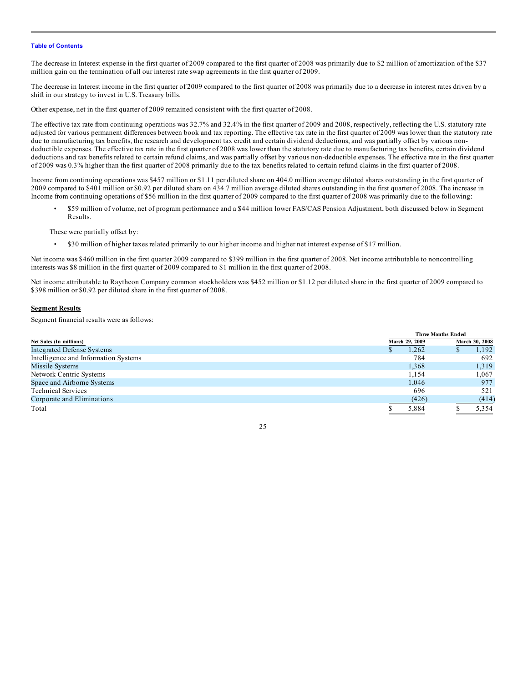The decrease in Interest expense in the first quarter of 2009 compared to the first quarter of 2008 was primarily due to \$2 million of amortization of the \$37 million gain on the termination of all our interest rate swap agreements in the first quarter of 2009.

The decrease in Interest income in the first quarter of 2009 compared to the first quarter of 2008 was primarily due to a decrease in interest rates driven by a shift in our strategy to invest in U.S. Treasury bills.

Other expense, net in the first quarter of 2009 remained consistent with the first quarter of 2008.

The effective tax rate from continuing operations was 32.7% and 32.4% in the first quarter of 2009 and 2008, respectively, reflecting the U.S. statutory rate adjusted for various permanent differences between book and tax reporting. The effective tax rate in the first quarter of 2009 was lower than the statutory rate due to manufacturing tax benefits, the research and development tax credit and certain dividend deductions, and was partially offset by various nondeductible expenses. The effective tax rate in the first quarter of 2008 was lower than the statutory rate due to manufacturing tax benefits, certain dividend deductions and tax benefits related to certain refund claims, and was partially offset by various non-deductible expenses. The effective rate in the first quarter of 2009 was 0.3% higher than the first quarter of 2008 primarily due to the tax benefits related to certain refund claims in the first quarter of 2008.

Income from continuing operations was \$457 million or \$1.11 per diluted share on 404.0 million average diluted shares outstanding in the first quarter of 2009 compared to \$401 million or \$0.92 per diluted share on 434.7 million average diluted shares outstanding in the first quarter of 2008. The increase in Income from continuing operations of \$56 million in the first quarter of 2009 compared to the first quarter of 2008 was primarily due to the following:

• \$59 million of volume, net of program performance and a \$44 million lower FAS/CAS Pension Adjustment, both discussed below in Segment Results.

These were partially offset by:

• \$30 million of higher taxes related primarily to our higher income and higher net interest expense of \$17 million.

Net income was \$460 million in the first quarter 2009 compared to \$399 million in the first quarter of 2008. Net income attributable to noncontrolling interests was \$8 million in the first quarter of 2009 compared to \$1 million in the first quarter of 2008.

Net income attributable to Raytheon Company common stockholders was \$452 million or \$1.12 per diluted share in the first quarter of 2009 compared to \$398 million or \$0.92 per diluted share in the first quarter of 2008.

#### **Segment Results**

Segment financial results were as follows:

|                                      | <b>Three Months Ended</b> |                |  |                |
|--------------------------------------|---------------------------|----------------|--|----------------|
| Net Sales (In millions)              |                           | March 29, 2009 |  | March 30, 2008 |
| <b>Integrated Defense Systems</b>    |                           | 1.262          |  | 1,192          |
| Intelligence and Information Systems |                           | 784            |  | 692            |
| Missile Systems                      |                           | 1.368          |  | 1,319          |
| Network Centric Systems              |                           | 1,154          |  | 1,067          |
| Space and Airborne Systems           |                           | 1.046          |  | 977            |
| <b>Technical Services</b>            |                           | 696            |  | 521            |
| Corporate and Eliminations           |                           | (426)          |  | (414)          |
| Total                                |                           | 5,884          |  | 5,354          |

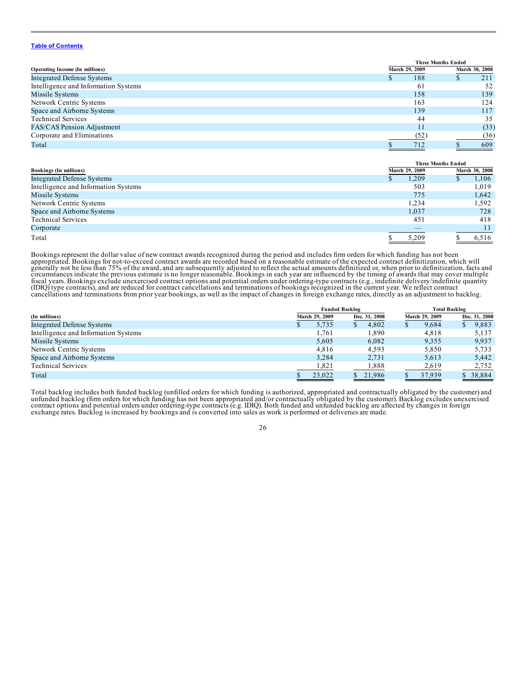|                                       |                | <b>Three Months Ended</b> |
|---------------------------------------|----------------|---------------------------|
| <b>Operating Income (In millions)</b> | March 29, 2009 | March 30, 2008            |
| <b>Integrated Defense Systems</b>     | 188            | 211                       |
| Intelligence and Information Systems  | 61             | 52                        |
| Missile Systems                       | 158            | 139                       |
| Network Centric Systems               | 163            | 124                       |
| Space and Airborne Systems            | 139            | 117                       |
| <b>Technical Services</b>             | 44             | 35                        |
| FAS/CAS Pension Adjustment            |                | (33)                      |
| Corporate and Eliminations            | (52)           | (36)                      |
| Total                                 | 712            | 609                       |

|                                      | <b>Three Months Ended</b> |                |  |                |
|--------------------------------------|---------------------------|----------------|--|----------------|
| <b>Bookings (In millions)</b>        |                           | March 29, 2009 |  | March 30, 2008 |
| <b>Integrated Defense Systems</b>    |                           | 1,209          |  | 1,106          |
| Intelligence and Information Systems |                           | 503            |  | 1.019          |
| Missile Systems                      |                           | 775            |  | 1,642          |
| Network Centric Systems              |                           | 1,234          |  | 1.592          |
| Space and Airborne Systems           |                           | 1,037          |  | 728            |
| <b>Technical Services</b>            |                           | 451            |  | 418            |
| Corporate                            |                           |                |  |                |
| Total                                |                           | 5,209          |  | 6,516          |

Bookings represent the dollar value of new contract awards recognized during the period and includes firm orders for which funding has not been appropriated. Bookings for not-to-exceed contract awards are recorded based on a reasonable estimate of the expected contract definitization, which will<br>generally not be less than 75% of the award, and are subsequently adj

|                                      |                | <b>Funded Backlog</b> |                       |               |
|--------------------------------------|----------------|-----------------------|-----------------------|---------------|
| (In millions)                        | March 29, 2009 | Dec. 31, 2008         | <b>March 29, 2009</b> | Dec. 31, 2008 |
| <b>Integrated Defense Systems</b>    | 5,735          | 4,802<br>S            | 9,684                 | 9,883         |
| Intelligence and Information Systems | 1,761          | .890                  | 4.818                 | 5,137         |
| Missile Systems                      | 5,605          | 6.082                 | 9.355                 | 9,937         |
| Network Centric Systems              | 4.816          | 4.593                 | 5.850                 | 5,733         |
| Space and Airborne Systems           | 3.284          | 2.731                 | 5.613                 | 5.442         |
| <b>Technical Services</b>            | 1,821          | 1,888                 | 2,619                 | 2,752         |
| Total                                | 23,022         | 21,986                | 37.939                | \$ 38,884     |

Total backlog includes both funded backlog (unfilled orders for which funding is authorized, appropriated and contractually obligated by the customer) and<br>unfunded backlog (firm orders for which funding has not been approp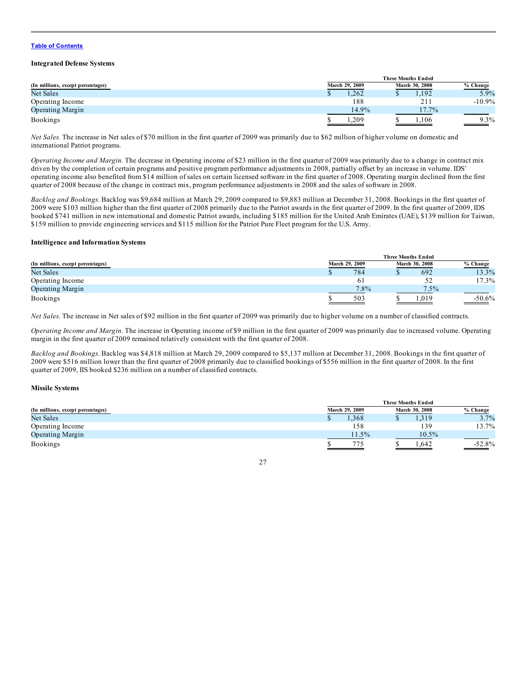#### **Integrated Defense Systems**

|                                   |                       | <b>Three Months Ended</b> |           |  |  |  |
|-----------------------------------|-----------------------|---------------------------|-----------|--|--|--|
| (In millions, except percentages) | <b>March 29, 2009</b> | <b>March 30, 2008</b>     | % Change  |  |  |  |
| Net Sales                         | 1.262                 | 1.192                     | 5.9%      |  |  |  |
| Operating Income                  | 188                   | 211                       | $-10.9\%$ |  |  |  |
| <b>Operating Margin</b>           | 14.9%                 | $7.7\%$                   |           |  |  |  |
| <b>Bookings</b>                   | .209                  | .,106                     | 9.3%      |  |  |  |

*Net Sales.* The increase in Net sales of \$70 million in the first quarter of 2009 was primarily due to \$62 million of higher volume on domestic and international Patriot programs.

*Operating Income and Margin.* The decrease in Operating income of \$23 million in the first quarter of 2009 was primarily due to a change in contract mix driven by the completion of certain programs and positive program performance adjustments in 2008, partially offset by an increase in volume. IDS' operating income also benefited from \$14 million of sales on certain licensed software in the first quarter of 2008. Operating margin declined from the first quarter of 2008 because of the change in contract mix, program performance adjustments in 2008 and the sales of software in 2008.

*Backlog and Bookings.* Backlog was \$9,684 million at March 29, 2009 compared to \$9,883 million at December 31, 2008. Bookings in the first quarter of 2009 were \$103 million higher than the first quarter of 2008 primarily due to the Patriot awards in the first quarter of 2009. In the first quarter of 2009, IDS booked \$741 million in new international and domestic Patriot awards, including \$185 million for the United Arab Emirates (UAE), \$139 million for Taiwan, \$159 million to provide engineering services and \$115 million for the Patriot Pure Fleet program for the U.S. Army.

#### **Intelligence and Information Systems**

|                                   |                | <b>Three Months Ended</b> |                |           |
|-----------------------------------|----------------|---------------------------|----------------|-----------|
| (In millions, except percentages) | March 29, 2009 |                           | March 30, 2008 | % Change  |
| <b>Net Sales</b>                  | 784            |                           | 692            | 13.3%     |
| Operating Income                  | 61             |                           |                | $1.3\%$   |
| <b>Operating Margin</b>           | $7.8\%$        |                           | $7.5\%$        |           |
| Bookings                          | 503            |                           | .019           | $-50.6\%$ |

*Net Sales.* The increase in Net sales of \$92 million in the first quarter of 2009 was primarily due to higher volume on a number of classified contracts.

*Operating Income and Margin.* The increase in Operating income of \$9 million in the first quarter of 2009 was primarily due to increased volume. Operating margin in the first quarter of 2009 remained relatively consistent with the first quarter of 2008.

*Backlog and Bookings*. Backlog was \$4,818 million at March 29, 2009 compared to \$5,137 million at December 31, 2008. Bookings in the first quarter of 2009 were \$516 million lower than the first quarter of 2008 primarily due to classified bookings of \$556 million in the first quarter of 2008. In the first quarter of 2009, IIS booked \$236 million on a number of classified contracts.

#### **Missile Systems**

|                                   | <b>Three Months Ended</b> |                |  |                |           |
|-----------------------------------|---------------------------|----------------|--|----------------|-----------|
| (In millions, except percentages) |                           | March 29, 2009 |  | March 30, 2008 | % Change  |
| <b>Net Sales</b>                  |                           | 1.368          |  | 1,319          | 3.7%      |
| Operating Income                  |                           | 158            |  | 139            | 13.7%     |
| <b>Operating Margin</b>           |                           | $1.5\%$        |  | 10.5%          |           |
| Bookings                          |                           | 775            |  | .642           | $-52.8\%$ |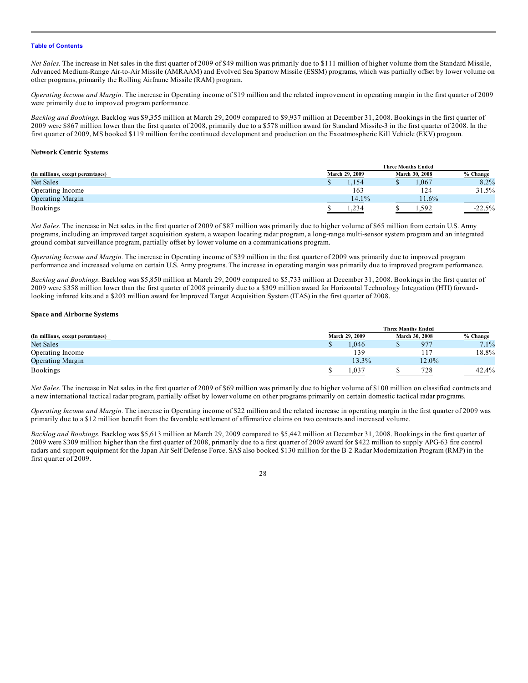*Net Sales.* The increase in Net sales in the first quarter of 2009 of \$49 million was primarily due to \$111 million of higher volume from the Standard Missile, Advanced Medium-Range Air-to-Air Missile (AMRAAM) and Evolved Sea Sparrow Missile (ESSM) programs, which was partially offset by lower volume on other programs, primarily the Rolling Airframe Missile (RAM) program.

*Operating Income and Margin.* The increase in Operating income of \$19 million and the related improvement in operating margin in the first quarter of 2009 were primarily due to improved program performance.

*Backlog and Bookings.* Backlog was \$9,355 million at March 29, 2009 compared to \$9,937 million at December 31, 2008. Bookings in the first quarter of 2009 were \$867 million lower than the first quarter of 2008, primarily due to a \$578 million award for Standard Missile-3 in the first quarter of 2008. In the first quarter of 2009, MS booked \$119 million for the continued development and production on the Exoatmospheric Kill Vehicle (EKV) program.

#### **Network Centric Systems**

|                                   | <b>Three Months Ended</b> |                       |                          |  |  |
|-----------------------------------|---------------------------|-----------------------|--------------------------|--|--|
| (In millions, except percentages) | March 29, 2009            | <b>March 30, 2008</b> | % Change                 |  |  |
| Net Sales                         | .154                      | 1,067                 | 8.2%                     |  |  |
| Operating Income                  | 163                       | 124                   | 31.5%                    |  |  |
| <b>Operating Margin</b>           | 14.1%                     | $1.6\%$               |                          |  |  |
| Bookings                          | . 234                     | 1.592                 | $-22.5%$<br><u>ransa</u> |  |  |

*Net Sales.* The increase in Net sales in the first quarter of 2009 of \$87 million was primarily due to higher volume of \$65 million from certain U.S. Army programs, including an improved target acquisition system, a weapon locating radar program, a long-range multi-sensor system program and an integrated ground combat surveillance program, partially offset by lower volume on a communications program.

*Operating Income and Margin.* The increase in Operating income of \$39 million in the first quarter of 2009 was primarily due to improved program performance and increased volume on certain U.S. Army programs. The increase in operating margin was primarily due to improved program performance.

*Backlog and Bookings*. Backlog was \$5,850 million at March 29, 2009 compared to \$5,733 million at December 31, 2008. Bookings in the first quarter of 2009 were \$358 million lower than the first quarter of 2008 primarily due to a \$309 million award for Horizontal Technology Integration (HTI) forwardlooking infrared kits and a \$203 million award for Improved Target Acquisition System (ITAS) in the first quarter of 2008.

#### **Space and Airborne Systems**

|                                   |                       | <b>Three Months Ended</b> |          |  |  |  |
|-----------------------------------|-----------------------|---------------------------|----------|--|--|--|
| (In millions, except percentages) | <b>March 29, 2009</b> | March 30, 2008            | % Change |  |  |  |
| Net Sales                         | .046                  | 977                       | 7.1%     |  |  |  |
| Operating Income                  | 139                   |                           | 18.8%    |  |  |  |
| <b>Operating Margin</b>           | 13.3%                 | 12.0%                     |          |  |  |  |
| <b>Bookings</b>                   | .037                  | 728                       | 42.4%    |  |  |  |

*Net Sales.* The increase in Net sales in the first quarter of 2009 of \$69 million was primarily due to higher volume of \$100 million on classified contracts and a new international tactical radar program, partially offset by lower volume on other programs primarily on certain domestic tactical radar programs.

*Operating Income and Margin.* The increase in Operating income of \$22 million and the related increase in operating margin in the first quarter of 2009 was primarily due to a \$12 million benefit from the favorable settlement of affirmative claims on two contracts and increased volume.

*Backlog and Bookings.* Backlog was \$5,613 million at March 29, 2009 compared to \$5,442 million at December 31, 2008. Bookings in the first quarter of 2009 were \$309 million higher than the first quarter of 2008, primarily due to a first quarter of 2009 award for \$422 million to supply APG-63 fire control radars and support equipment for the Japan Air Self-Defense Force. SAS also booked \$130 million for the B-2 Radar Modernization Program (RMP) in the first quarter of 2009.

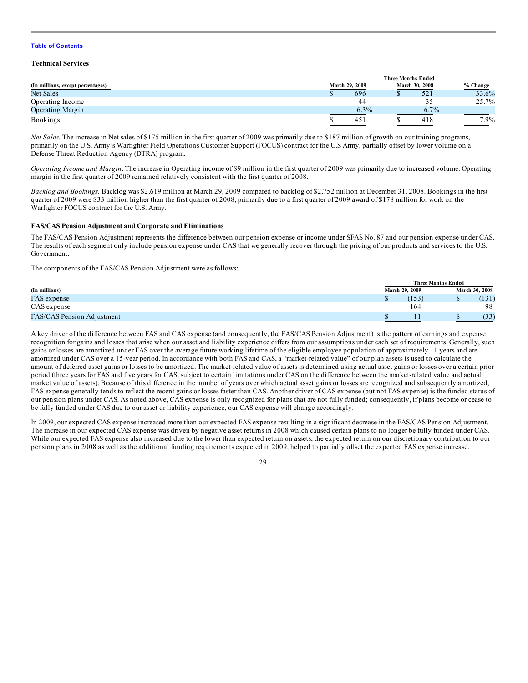#### **Technical Services**

|                                   |                |      | <b>Three Months Ended</b> |                |          |
|-----------------------------------|----------------|------|---------------------------|----------------|----------|
| (In millions, except percentages) | March 29, 2009 |      |                           | March 30, 2008 | % Change |
| Net Sales                         |                | 696  |                           | 521            | 33.6%    |
| Operating Income                  |                | 44   |                           | ັັ             | 25.7%    |
| <b>Operating Margin</b>           |                | 6.3% |                           | 6.7%           |          |
| <b>Bookings</b>                   |                | 45.  |                           | 418            | $7.9\%$  |

*Net Sales.* The increase in Net sales of \$175 million in the first quarter of 2009 was primarily due to \$187 million of growth on our training programs, primarily on the U.S. Army's Warfighter Field Operations Customer Support (FOCUS) contract for the U.S Army, partially offset by lower volume on a Defense Threat Reduction Agency (DTRA) program.

*Operating Income and Margin*. The increase in Operating income of \$9 million in the first quarter of 2009 was primarily due to increased volume. Operating margin in the first quarter of 2009 remained relatively consistent with the first quarter of 2008.

*Backlog and Bookings.* Backlog was \$2,619 million at March 29, 2009 compared to backlog of \$2,752 million at December 31, 2008. Bookings in the first quarter of 2009 were \$33 million higher than the first quarter of 2008, primarily due to a first quarter of 2009 award of \$178 million for work on the Warfighter FOCUS contract for the U.S. Army.

#### **FAS/CAS Pension Adjustment and Corporate and Eliminations**

The FAS/CAS Pension Adjustment represents the difference between our pension expense or income under SFAS No. 87 and our pension expense under CAS. The results of each segment only include pension expense under CAS that we generally recover through the pricing of our products and services to the U.S. Government.

The components of the FAS/CAS Pension Adjustment were as follows:

|                                   |                | <b>Three Months Ended</b> |  |  |  |  |
|-----------------------------------|----------------|---------------------------|--|--|--|--|
| (In millions)                     | March 29, 2009 | <b>March 30, 2008</b>     |  |  |  |  |
| FAS expense                       | 153)           | (131)                     |  |  |  |  |
| CAS expense                       | 164            | 98                        |  |  |  |  |
| <b>FAS/CAS Pension Adjustment</b> |                | (33)                      |  |  |  |  |

A key driver of the difference between FAS and CAS expense (and consequently, the FAS/CAS Pension Adjustment) is the pattern of earnings and expense recognition for gains and losses that arise when our asset and liability experience differs from our assumptions under each set of requirements. Generally, such gains or losses are amortized under FAS over the average future working lifetime of the eligible employee population of approximately 11 years and are amortized under CAS over a 15-year period. In accordance with both FAS and CAS, a "market-related value" of our plan assets is used to calculate the amount of deferred asset gains or losses to be amortized. The market-related value of assets is determined using actual asset gains or losses over a certain prior period (three years for FAS and five years for CAS, subject to certain limitations under CAS on the difference between the market-related value and actual market value of assets). Because of this difference in the number of years over which actual asset gains or losses are recognized and subsequently amortized, FAS expense generally tends to reflect the recent gains or losses faster than CAS. Another driver of CAS expense (but not FAS expense) is the funded status of our pension plans under CAS. As noted above, CAS expense is only recognized for plans that are not fully funded; consequently, if plans become or cease to be fully funded under CAS due to our asset or liability experience, our CAS expense will change accordingly.

In 2009, our expected CAS expense increased more than our expected FAS expense resulting in a significant decrease in the FAS/CAS Pension Adjustment. The increase in our expected CAS expense was driven by negative asset returns in 2008 which caused certain plans to no longer be fully funded under CAS. While our expected FAS expense also increased due to the lower than expected return on assets, the expected return on our discretionary contribution to our pension plans in 2008 as well as the additional funding requirements expected in 2009, helped to partially offset the expected FAS expense increase.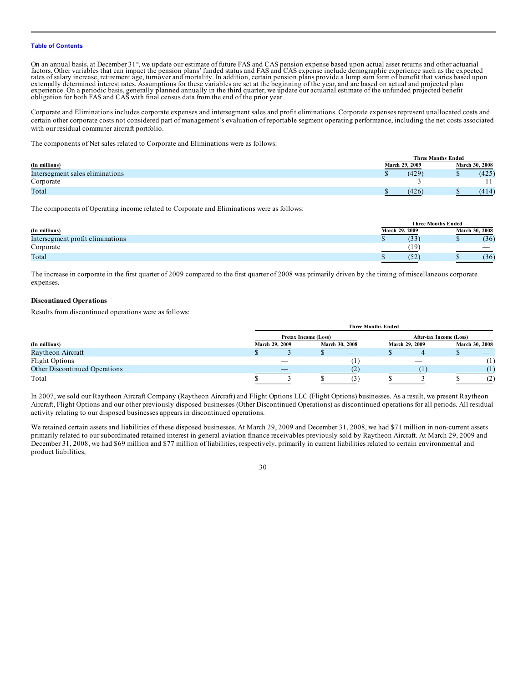On an annual basis, at December 31st, we update our estimate of future FAS and CAS pension expense based upon actual asset returns and other actuarial<br>factors. Other variables that can impact the pension plans' funded stat externally determined interest rates. Assumptions for these variables are set at the beginning of the year, and are based on actual and projected plan experience. On a periodic basis, generally planned annually in the third quarter, we update our actuarial estimate of the unfunded projected benefit obligation for both FAS and CAS with final census data from the end of the prior year.

Corporate and Eliminations includes corporate expenses and intersegment sales and profit eliminations. Corporate expenses represent unallocated costs and certain other corporate costs not considered part of management's evaluation of reportable segment operating performance, including the net costs associated with our residual commuter aircraft portfolio.

The components of Net sales related to Corporate and Eliminations were as follows:

|                                 |                       | <b>Three Months Ended</b> |  |  |  |  |
|---------------------------------|-----------------------|---------------------------|--|--|--|--|
| (In millions)                   | <b>March 29, 2009</b> | March 30, 2008            |  |  |  |  |
| Intersegment sales eliminations | (429)                 | (425                      |  |  |  |  |
| Corporate                       |                       |                           |  |  |  |  |
| Total                           | (426)                 | (414)                     |  |  |  |  |

The components of Operating income related to Corporate and Eliminations were as follows:

|                                  |                | <b>Three Months Ended</b> |  |  |  |  |
|----------------------------------|----------------|---------------------------|--|--|--|--|
| (In millions)                    | March 29, 2009 | March 30, 2008            |  |  |  |  |
| Intersegment profit eliminations |                | (36)                      |  |  |  |  |
| Corporate                        |                | __                        |  |  |  |  |
| Total                            | ے ر            | (36)                      |  |  |  |  |

The increase in corporate in the first quarter of 2009 compared to the first quarter of 2008 was primarily driven by the timing of miscellaneous corporate expenses.

#### **Discontinued Operations**

Results from discontinued operations were as follows:

|                                      | <b>Three Months Ended</b> |                             |                         |                |  |  |  |
|--------------------------------------|---------------------------|-----------------------------|-------------------------|----------------|--|--|--|
|                                      |                           | <b>Pretax Income (Loss)</b> | After-tax Income (Loss) |                |  |  |  |
| (In millions)                        | <b>March 29, 2009</b>     | March 30, 2008              | <b>March 29, 2009</b>   | March 30, 2008 |  |  |  |
| Raytheon Aircraft                    |                           |                             |                         |                |  |  |  |
| <b>Flight Options</b>                |                           |                             |                         |                |  |  |  |
| <b>Other Discontinued Operations</b> |                           |                             |                         |                |  |  |  |
| Total                                |                           |                             |                         |                |  |  |  |

In 2007, we sold our Raytheon Aircraft Company (Raytheon Aircraft) and Flight Options LLC (Flight Options) businesses. As a result, we present Raytheon Aircraft, Flight Options and our other previously disposed businesses (Other Discontinued Operations) as discontinued operations for all periods. All residual activity relating to our disposed businesses appears in discontinued operations.

We retained certain assets and liabilities of these disposed businesses. At March 29, 2009 and December 31, 2008, we had \$71 million in non-current assets primarily related to our subordinated retained interest in general aviation finance receivables previously sold by Raytheon Aircraft. At March 29, 2009 and December 31, 2008, we had \$69 million and \$77 million of liabilities, respectively, primarily in current liabilities related to certain environmental and product liabilities,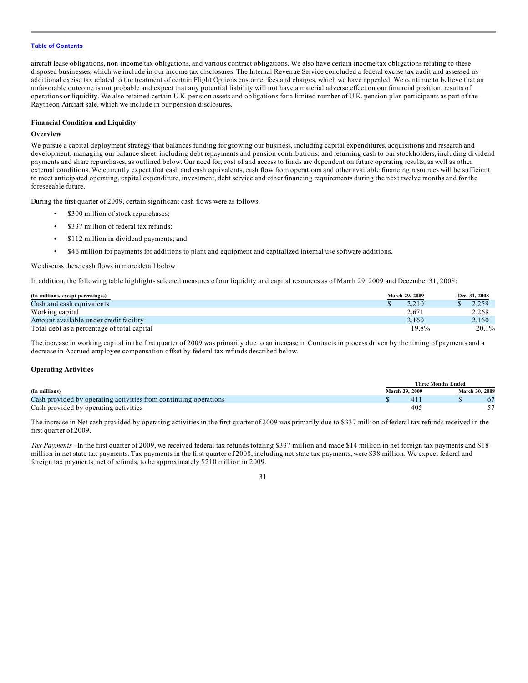aircraft lease obligations, non-income tax obligations, and various contract obligations. We also have certain income tax obligations relating to these disposed businesses, which we include in our income tax disclosures. The Internal Revenue Service concluded a federal excise tax audit and assessed us additional excise tax related to the treatment of certain Flight Options customer fees and charges, which we have appealed. We continue to believe that an unfavorable outcome is not probable and expect that any potential liability will not have a material adverse effect on our financial position, results of operations or liquidity. We also retained certain U.K. pension assets and obligations for a limited number of U.K. pension plan participants as part of the Raytheon Aircraft sale, which we include in our pension disclosures.

#### **Financial Condition and Liquidity**

#### **Overview**

We pursue a capital deployment strategy that balances funding for growing our business, including capital expenditures, acquisitions and research and development; managing our balance sheet, including debt repayments and pension contributions; and returning cash to our stockholders, including dividend payments and share repurchases, as outlined below. Our need for, cost of and access to funds are dependent on future operating results, as well as other external conditions. We currently expect that cash and cash equivalents, cash flow from operations and other available financing resources will be sufficient to meet anticipated operating, capital expenditure, investment, debt service and other financing requirements during the next twelve months and for the foreseeable future.

During the first quarter of 2009, certain significant cash flows were as follows:

- \$300 million of stock repurchases;
- \$337 million of federal tax refunds;
- \$112 million in dividend payments; and
- \$46 million for payments for additions to plant and equipment and capitalized internal use software additions.

We discuss these cash flows in more detail below.

In addition, the following table highlights selected measures of our liquidity and capital resources as of March 29, 2009 and December 31, 2008:

| (In millions, except percentages)           | <b>March 29, 2009</b> | Dec. 31, 2008 |
|---------------------------------------------|-----------------------|---------------|
| Cash and cash equivalents                   | 2.210                 | 2.259         |
| Working capital                             | 2.671                 | 2,268         |
| Amount available under credit facility      | 2.160                 | 2,160         |
| Total debt as a percentage of total capital | 19.8%                 | 20.1%         |

The increase in working capital in the first quarter of 2009 was primarily due to an increase in Contracts in process driven by the timing of payments and a decrease in Accrued employee compensation offset by federal tax refunds described below.

#### **Operating Activities**

|                                                                  |  | <b>Three Months Ended</b> |                       |  |  |  |
|------------------------------------------------------------------|--|---------------------------|-----------------------|--|--|--|
| (In millions)                                                    |  | <b>March 29, 2009</b>     | <b>March 30, 2008</b> |  |  |  |
| Cash provided by operating activities from continuing operations |  |                           |                       |  |  |  |
| Cash provided by operating activities                            |  | 40:                       |                       |  |  |  |

The increase in Net cash provided by operating activities in the first quarter of 2009 was primarily due to \$337 million of federal tax refunds received in the first quarter of 2009.

*Tax Payments* - In the first quarter of 2009, we received federal tax refunds totaling \$337 million and made \$14 million in net foreign tax payments and \$18 million in net state tax payments. Tax payments in the first quarter of 2008, including net state tax payments, were \$38 million. We expect federal and foreign tax payments, net of refunds, to be approximately \$210 million in 2009.

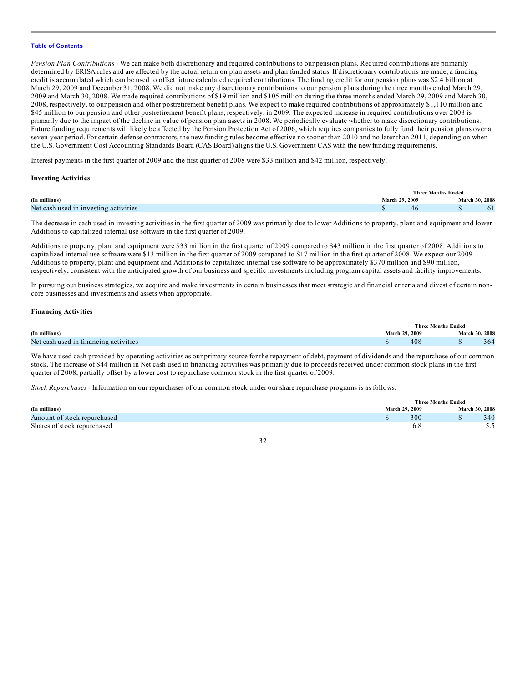*Pension Plan Contributions* - We can make both discretionary and required contributions to our pension plans. Required contributions are primarily determined by ERISA rules and are affected by the actual return on plan assets and plan funded status. If discretionary contributions are made, a funding credit is accumulated which can be used to offset future calculated required contributions. The funding credit for our pension plans was \$2.4 billion at March 29, 2009 and December 31, 2008. We did not make any discretionary contributions to our pension plans during the three months ended March 29, 2009 and March 30, 2008. We made required contributions of \$19 million and \$105 million during the three months ended March 29, 2009 and March 30, 2008, respectively, to our pension and other postretirement benefit plans. We expect to make required contributions of approximately \$1,110 million and \$45 million to our pension and other postretirement benefit plans, respectively, in 2009. The expected increase in required contributions over 2008 is primarily due to the impact of the decline in value of pension plan assets in 2008. We periodically evaluate whether to make discretionary contributions. Future funding requirements will likely be affected by the Pension Protection Act of 2006, which requires companies to fully fund their pension plans over a seven-year period. For certain defense contractors, the new funding rules become effective no sooner than 2010 and no later than 2011, depending on when the U.S. Government Cost Accounting Standards Board (CAS Board) aligns the U.S. Government CAS with the new funding requirements.

Interest payments in the first quarter of 2009 and the first quarter of 2008 were \$33 million and \$42 million, respectively.

#### **Investing Activities**

|                                       |                       | <b>Three Months Ended</b> |
|---------------------------------------|-----------------------|---------------------------|
| (In millions)                         | <b>March 29, 2009</b> | <b>March 30, 2008</b>     |
| Net cash used in investing activities | 46                    | 61                        |

The decrease in cash used in investing activities in the first quarter of 2009 was primarily due to lower Additions to property, plant and equipment and lower Additions to capitalized internal use software in the first quarter of 2009.

Additions to property, plant and equipment were \$33 million in the first quarter of 2009 compared to \$43 million in the first quarter of 2008. Additions to capitalized internal use software were \$13 million in the first quarter of 2009 compared to \$17 million in the first quarter of 2008. We expect our 2009 Additions to property, plant and equipment and Additions to capitalized internal use software to be approximately \$370 million and \$90 million, respectively, consistent with the anticipated growth of our business and specific investments including program capital assets and facility improvements.

In pursuing our business strategies, we acquire and make investments in certain businesses that meet strategic and financial criteria and divest of certain noncore businesses and investments and assets when appropriate.

#### **Financing Activities**

|                                       |                       | <b>Three Months Ended</b> |                       |
|---------------------------------------|-----------------------|---------------------------|-----------------------|
| (In millions)                         | <b>March 29, 2009</b> |                           | <b>March 30, 2008</b> |
| Net cash used in financing activities | 408                   |                           | 364                   |

We have used cash provided by operating activities as our primary source for the repayment of debt, payment of dividends and the repurchase of our common stock. The increase of \$44 million in Net cash used in financing activities was primarily due to proceeds received under common stock plans in the first quarter of 2008, partially offset by a lower cost to repurchase common stock in the first quarter of 2009.

*Stock Repurchases* - Information on our repurchases of our common stock under our share repurchase programs is as follows:

|                             |                       | <b>Three Months Ended</b> |  |  |  |  |  |
|-----------------------------|-----------------------|---------------------------|--|--|--|--|--|
| (In millions)               | <b>March 29, 2009</b> | <b>March 30, 2008</b>     |  |  |  |  |  |
| Amount of stock repurchased | 300                   | 340                       |  |  |  |  |  |
| Shares of stock repurchased | o.o                   | ن. ب                      |  |  |  |  |  |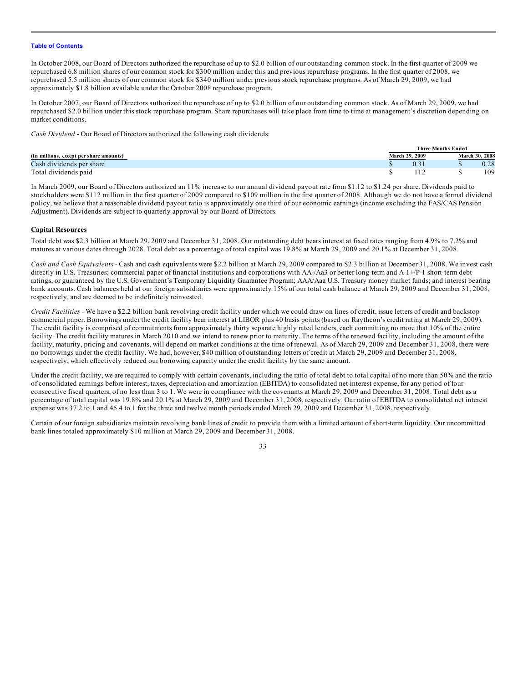In October 2008, our Board of Directors authorized the repurchase of up to \$2.0 billion of our outstanding common stock. In the first quarter of 2009 we repurchased 6.8 million shares of our common stock for \$300 million under this and previous repurchase programs. In the first quarter of 2008, we repurchased 5.5 million shares of our common stock for \$340 million under previous stock repurchase programs. As of March 29, 2009, we had approximately \$1.8 billion available under the October 2008 repurchase program.

In October 2007, our Board of Directors authorized the repurchase of up to \$2.0 billion of our outstanding common stock. As of March 29, 2009, we had repurchased \$2.0 billion under this stock repurchase program. Share repurchases will take place from time to time at management's discretion depending on market conditions.

*Cash Dividend* - Our Board of Directors authorized the following cash dividends:

|                                         | <b>Three Months Ended</b> |                       |  |                       |  |  |  |
|-----------------------------------------|---------------------------|-----------------------|--|-----------------------|--|--|--|
| (In millions, except per share amounts) |                           | <b>March 29, 2009</b> |  | <b>March 30, 2008</b> |  |  |  |
| Cash dividends per share                |                           |                       |  | 0.28                  |  |  |  |
| Total dividends paid                    |                           |                       |  | 109                   |  |  |  |

In March 2009, our Board of Directors authorized an 11% increase to our annual dividend payout rate from \$1.12 to \$1.24 per share. Dividends paid to stockholders were \$112 million in the first quarter of 2009 compared to \$109 million in the first quarter of 2008. Although we do not have a formal dividend policy, we believe that a reasonable dividend payout ratio is approximately one third of our economic earnings (income excluding the FAS/CAS Pension Adjustment). Dividends are subject to quarterly approval by our Board of Directors.

#### **Capital Resources**

Total debt was \$2.3 billion at March 29, 2009 and December 31, 2008. Our outstanding debt bears interest at fixed rates ranging from 4.9% to 7.2% and matures at various dates through 2028. Total debt as a percentage of total capital was 19.8% at March 29, 2009 and 20.1% at December 31, 2008.

*Cash and Cash Equivalents* - Cash and cash equivalents were \$2.2 billion at March 29, 2009 compared to \$2.3 billion at December 31, 2008. We invest cash directly in U.S. Treasuries; commercial paper of financial institutions and corporations with AA-/Aa3 or better long-term and A-1+/P-1 short-term debt ratings, or guaranteed by the U.S. Government's Temporary Liquidity Guarantee Program; AAA/Aaa U.S. Treasury money market funds; and interest bearing bank accounts. Cash balances held at our foreign subsidiaries were approximately 15% of our total cash balance at March 29, 2009 and December 31, 2008, respectively, and are deemed to be indefinitely reinvested.

*Credit Facilities* - We have a \$2.2 billion bank revolving credit facility under which we could draw on lines of credit, issue letters of credit and backstop commercial paper. Borrowings under the credit facility bear interest at LIBOR plus 40 basis points (based on Raytheon's credit rating at March 29, 2009). The credit facility is comprised of commitments from approximately thirty separate highly rated lenders, each committing no more that 10% of the entire facility. The credit facility matures in March 2010 and we intend to renew prior to maturity. The terms of the renewed facility, including the amount of the facility, maturity, pricing and covenants, will depend on market conditions at the time of renewal. As of March 29, 2009 and December 31, 2008, there were no borrowings under the credit facility. We had, however, \$40 million of outstanding letters of credit at March 29, 2009 and December 31, 2008, respectively, which effectively reduced our borrowing capacity under the credit facility by the same amount.

Under the credit facility, we are required to comply with certain covenants, including the ratio of total debt to total capital of no more than 50% and the ratio of consolidated earnings before interest, taxes, depreciation and amortization (EBITDA) to consolidated net interest expense, for any period of four consecutive fiscal quarters, of no less than 3 to 1. We were in compliance with the covenants at March 29, 2009 and December 31, 2008. Total debt as a percentage of total capital was 19.8% and 20.1% at March 29, 2009 and December 31, 2008, respectively. Our ratio of EBITDA to consolidated net interest expense was 37.2 to 1 and 45.4 to 1 for the three and twelve month periods ended March 29, 2009 and December 31, 2008, respectively.

Certain of our foreign subsidiaries maintain revolving bank lines of credit to provide them with a limited amount of short-term liquidity. Our uncommitted bank lines totaled approximately \$10 million at March 29, 2009 and December 31, 2008.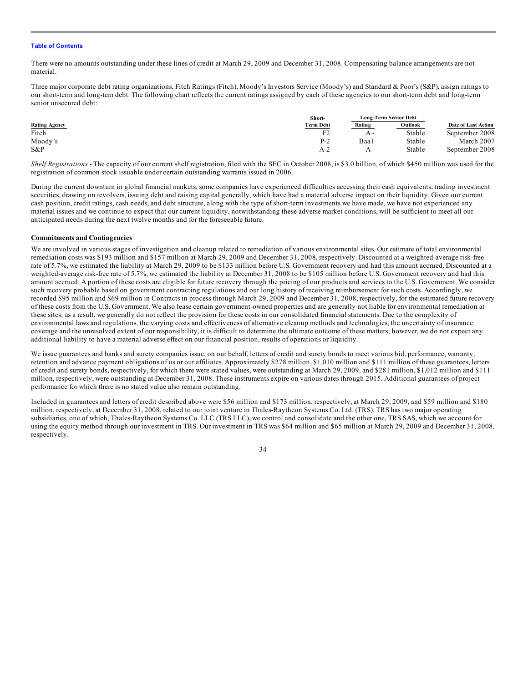There were no amounts outstanding under these lines of credit at March 29, 2009 and December 31, 2008. Compensating balance arrangements are not material.

Three major corporate debt rating organizations, Fitch Ratings (Fitch), Moody's Investors Service (Moody's) and Standard & Poor's (S&P), assign ratings to our short-term and long-tem debt. The following chart reflects the current ratings assigned by each of these agencies to our short-term debt and long-term senior unsecured debt:

|                      | Short-           |        | <b>Long-Term Senior Debt</b> |                     |
|----------------------|------------------|--------|------------------------------|---------------------|
| <b>Rating Agency</b> | <b>Term Debt</b> | Rating | Outlook                      | Date of Last Action |
| Fitch                | 耳り               | $A -$  | Stable                       | September 2008      |
| Moody's              | $P-2$            | Baa1   | Stable                       | March 2007          |
| $S\&P$               | A-2              | $A -$  | Stable                       | September 2008      |

*Shelf Registrations* - The capacity of our current shelf registration, filed with the SEC in October 2008, is \$3.0 billion, of which \$450 million was used for the registration of common stock issuable under certain outstanding warrants issued in 2006.

During the current downturn in global financial markets, some companies have experienced difficulties accessing their cash equivalents, trading investment securities, drawing on revolvers, issuing debt and raising capital generally, which have had a material adverse impact on their liquidity. Given our current cash position, credit ratings, cash needs, and debt structure, along with the type of short-term investments we have made, we have not experienced any material issues and we continue to expect that our current liquidity, notwithstanding these adverse market conditions, will be sufficient to meet all our anticipated needs during the next twelve months and for the foreseeable future.

#### **Commitments and Contingencies**

We are involved in various stages of investigation and cleanup related to remediation of various environmental sites. Our estimate of total environmental remediation costs was \$193 million and \$157 million at March 29, 2009 and December 31, 2008, respectively. Discounted at a weighted-average risk-free rate of 5.7%, we estimated the liability at March 29, 2009 to be \$133 million before U.S. Government recovery and had this amount accrued. Discounted at a weighted-average risk-free rate of 5.7%, we estimated the liability at December 31, 2008 to be \$105 million before U.S. Government recovery and had this amount accrued. A portion of these costs are eligible for future recovery through the pricing of our products and services to the U.S. Government. We consider such recovery probable based on government contracting regulations and our long history of receiving reimbursement for such costs. Accordingly, we recorded \$95 million and \$69 million in Contracts in process through March 29, 2009 and December 31, 2008, respectively, for the estimated future recovery of these costs from the U.S. Government. We also lease certain government-owned properties and are generally not liable for environmental remediation at these sites; as a result, we generally do not reflect the provision for these costs in our consolidated financial statements. Due to the complexity of environmental laws and regulations, the varying costs and effectiveness of alternative cleanup methods and technologies, the uncertainty of insurance coverage and the unresolved extent of our responsibility, it is difficult to determine the ultimate outcome of these matters; however, we do not expect any additional liability to have a material adverse effect on our financial position, results of operations or liquidity.

We issue guarantees and banks and surety companies issue, on our behalf, letters of credit and surety bonds to meet various bid, performance, warranty, retention and advance payment obligations of us or our affiliates. Approximately \$278 million, \$1,010 million and \$111 million of these guarantees, letters of credit and surety bonds, respectively, for which there were stated values, were outstanding at March 29, 2009, and \$281 million, \$1,012 million and \$111 million, respectively, were outstanding at December 31, 2008. These instruments expire on various dates through 2015. Additional guarantees of project performance for which there is no stated value also remain outstanding.

Included in guarantees and letters of credit described above were \$56 million and \$173 million, respectively, at March 29, 2009, and \$59 million and \$180 million, respectively, at December 31, 2008, related to our joint venture in Thales-Raytheon Systems Co. Ltd. (TRS). TRS has two major operating subsidiaries, one of which, Thales-Raytheon Systems Co. LLC (TRS LLC), we control and consolidate and the other one, TRS SAS, which we account for using the equity method through our investment in TRS. Our investment in TRS was \$64 million and \$65 million at March 29, 2009 and December 31, 2008, respectively.

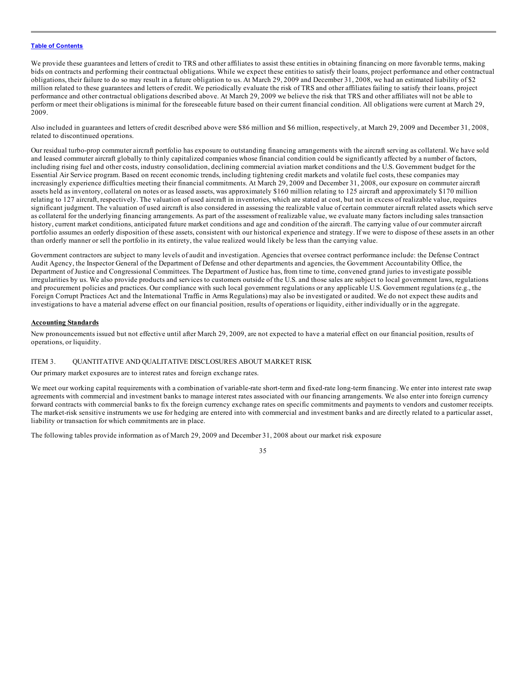<span id="page-34-0"></span>We provide these guarantees and letters of credit to TRS and other affiliates to assist these entities in obtaining financing on more favorable terms, making bids on contracts and performing their contractual obligations. While we expect these entities to satisfy their loans, project performance and other contractual obligations, their failure to do so may result in a future obligation to us. At March 29, 2009 and December 31, 2008, we had an estimated liability of \$2 million related to these guarantees and letters of credit. We periodically evaluate the risk of TRS and other affiliates failing to satisfy their loans, project performance and other contractual obligations described above. At March 29, 2009 we believe the risk that TRS and other affiliates will not be able to perform or meet their obligations is minimal for the foreseeable future based on their current financial condition. All obligations were current at March 29, 2009.

Also included in guarantees and letters of credit described above were \$86 million and \$6 million, respectively, at March 29, 2009 and December 31, 2008, related to discontinued operations.

Our residual turbo-prop commuter aircraft portfolio has exposure to outstanding financing arrangements with the aircraft serving as collateral. We have sold and leased commuter aircraft globally to thinly capitalized companies whose financial condition could be significantly affected by a number of factors, including rising fuel and other costs, industry consolidation, declining commercial aviation market conditions and the U.S. Government budget for the Essential Air Service program. Based on recent economic trends, including tightening credit markets and volatile fuel costs, these companies may increasingly experience difficulties meeting their financial commitments. At March 29, 2009 and December 31, 2008, our exposure on commuter aircraft assets held as inventory, collateral on notes or as leased assets, was approximately \$160 million relating to 125 aircraft and approximately \$170 million relating to 127 aircraft, respectively. The valuation of used aircraft in inventories, which are stated at cost, but not in excess of realizable value, requires significant judgment. The valuation of used aircraft is also considered in assessing the realizable value of certain commuter aircraft related assets which serve as collateral for the underlying financing arrangements. As part of the assessment of realizable value, we evaluate many factors including sales transaction history, current market conditions, anticipated future market conditions and age and condition of the aircraft. The carrying value of our commuter aircraft portfolio assumes an orderly disposition of these assets, consistent with our historical experience and strategy. If we were to dispose of these assets in an other than orderly manner or sell the portfolio in its entirety, the value realized would likely be less than the carrying value.

Government contractors are subject to many levels of audit and investigation. Agencies that oversee contract performance include: the Defense Contract Audit Agency, the Inspector General of the Department of Defense and other departments and agencies, the Government Accountability Office, the Department of Justice and Congressional Committees. The Department of Justice has, from time to time, convened grand juries to investigate possible irregularities by us. We also provide products and services to customers outside of the U.S. and those sales are subject to local government laws, regulations and procurement policies and practices. Our compliance with such local government regulations or any applicable U.S. Government regulations (e.g., the Foreign Corrupt Practices Act and the International Traffic in Arms Regulations) may also be investigated or audited. We do not expect these audits and investigations to have a material adverse effect on our financial position, results of operations or liquidity, either individually or in the aggregate.

#### **Accounting Standards**

New pronouncements issued but not effective until after March 29, 2009, are not expected to have a material effect on our financial position, results of operations, or liquidity.

#### ITEM 3. QUANTITATIVE AND QUALITATIVE DISCLOSURES ABOUT MARKET RISK

Our primary market exposures are to interest rates and foreign exchange rates.

We meet our working capital requirements with a combination of variable-rate short-term and fixed-rate long-term financing. We enter into interest rate swap agreements with commercial and investment banks to manage interest rates associated with our financing arrangements. We also enter into foreign currency forward contracts with commercial banks to fix the foreign currency exchange rates on specific commitments and payments to vendors and customer receipts. The market-risk sensitive instruments we use for hedging are entered into with commercial and investment banks and are directly related to a particular asset, liability or transaction for which commitments are in place.

The following tables provide information as of March 29, 2009 and December 31, 2008 about our market risk exposure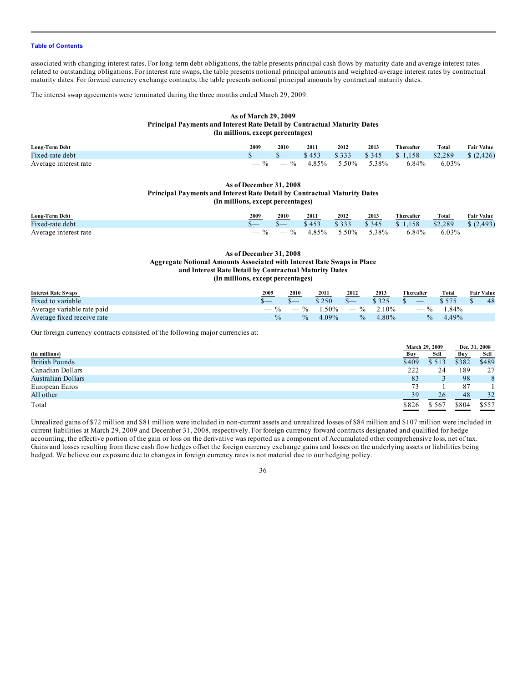associated with changing interest rates. For long-term debt obligations, the table presents principal cash flows by maturity date and average interest rates related to outstanding obligations. For interest rate swaps, the table presents notional principal amounts and weighted-average interest rates by contractual maturity dates. For forward currency exchange contracts, the table presents notional principal amounts by contractual maturity dates.

The interest swap agreements were terminated during the three months ended March 29, 2009.

#### **As of March 29, 2009 Principal Payments and Interest Rate Detail by Contractual Maturity Dates (In millions, except percentages)**

| Long-Term Debt        | 2009 | 2010      | 2011  | 2012                          | 2013 | Thereafter      | Total    | <b>Fair Value</b> |
|-----------------------|------|-----------|-------|-------------------------------|------|-----------------|----------|-------------------|
| Fixed-rate debt       |      | $\sim$ s— | \$453 | \$333                         |      | $$345$ $$1,158$ | \$2,289  | \$ (2,426)        |
| Average interest rate |      |           |       | $-$ % $-$ % 4.85% 5.50% 5.38% |      | 6.84%           | $6.03\%$ |                   |

#### **As of December 31, 2008 Principal Payments and Interest Rate Detail by Contractual Maturity Dates (In millions, except percentages)**

| Long-Term Debt        | 2009        | 2010 | 2011 | 2012                          | 2013 | Thereafter                    | Total    | <b>Fair Value</b>    |
|-----------------------|-------------|------|------|-------------------------------|------|-------------------------------|----------|----------------------|
| Fixed-rate debt       | $s =$ $s =$ |      |      |                               |      | $$453$ $$333$ $$345$ $$1,158$ | \$2.289  | $\frac{1}{2}(2,493)$ |
| Average interest rate |             |      |      | $-$ % $-$ % 4.85% 5.50% 5.38% |      | 6.84%                         | $6.03\%$ |                      |

#### **As of December 31, 2008 Aggregate Notional Amounts Associated with Interest Rate Swaps in Place and Interest Rate Detail by Contractual Maturity Dates (In millions, except percentages)**

| <b>Interest Rate Swaps</b> | 2009  | 2010               | 2011                          | 2012  | 2013     | Thereafter                           | Total    | <b>Fair Value</b> |
|----------------------------|-------|--------------------|-------------------------------|-------|----------|--------------------------------------|----------|-------------------|
| Fixed to variable          |       |                    | \$250                         | $s-$  | \$325    | $\sim$ s<br>$\overline{\phantom{a}}$ | \$575    | 48                |
| Average variable rate paid |       |                    | $-$ % $-$ % 1.50% $-$ % 2.10% |       |          | $-$ %                                | 1.84%    |                   |
| Average fixed receive rate | $-$ % | $ \frac{9}{6}$ $-$ | $4.09\%$                      | $-$ % | $4.80\%$ | $-$ %                                | $4.49\%$ |                   |

Our foreign currency contracts consisted of the following major currencies at:

|                           |       | March 29, 2009 |       | Dec. 31, 2008 |
|---------------------------|-------|----------------|-------|---------------|
| (In millions)             | Buy   | Sell           | Buy   | Sell          |
| <b>British Pounds</b>     | \$409 | \$513          | \$382 | \$489         |
| Canadian Dollars          | 222   | 24             | 189   | 27            |
| <b>Australian Dollars</b> | 83    |                | 98    | 8             |
| European Euros            | 73    |                | 87    |               |
| All other                 | 39    | 26             | 48    | 32            |
| Total                     | \$826 | \$ 567         | \$804 | \$557         |

Unrealized gains of \$72 million and \$81 million were included in non-current assets and unrealized losses of \$84 million and \$107 million were included in current liabilities at March 29, 2009 and December 31, 2008, respectively. For foreign currency forward contracts designated and qualified for hedge accounting, the effective portion of the gain or loss on the derivative was reported as a component of Accumulated other comprehensive loss, net of tax. Gains and losses resulting from these cash flow hedges offset the foreign currency exchange gains and losses on the underlying assets or liabilities being hedged. We believe our exposure due to changes in foreign currency rates is not material due to our hedging policy.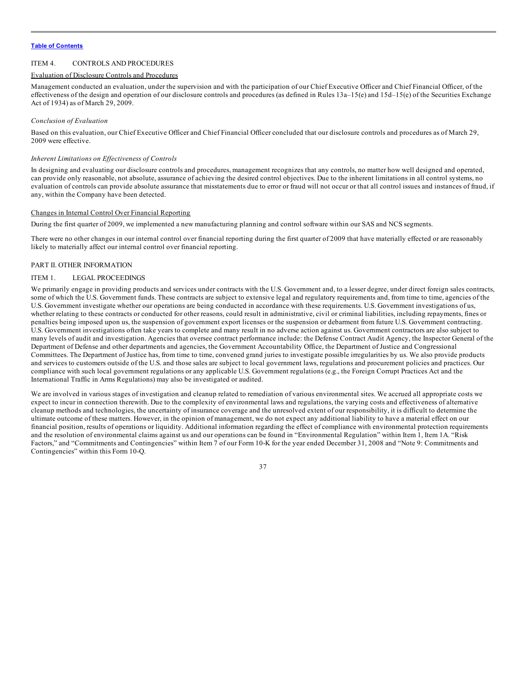#### <span id="page-36-0"></span>ITEM 4. CONTROLS AND PROCEDURES

#### Evaluation of Disclosure Controls and Procedures

Management conducted an evaluation, under the supervision and with the participation of our Chief Executive Officer and Chief Financial Officer, of the effectiveness of the design and operation of our disclosure controls and procedures (as defined in Rules 13a–15(e) and 15d–15(e) of the Securities Exchange Act of 1934) as of March 29, 2009.

#### *Conclusion of Evaluation*

Based on this evaluation, our Chief Executive Officer and Chief Financial Officer concluded that our disclosure controls and procedures as of March 29, 2009 were effective.

#### *Inherent Limitations on Ef ectiveness of Controls*

In designing and evaluating our disclosure controls and procedures, management recognizes that any controls, no matter how well designed and operated, can provide only reasonable, not absolute, assurance of achieving the desired control objectives. Due to the inherent limitations in all control systems, no evaluation of controls can provide absolute assurance that misstatements due to error or fraud will not occur or that all control issues and instances of fraud, if any, within the Company have been detected.

#### Changes in Internal Control Over Financial Reporting

During the first quarter of 2009, we implemented a new manufacturing planning and control software within our SAS and NCS segments.

There were no other changes in our internal control over financial reporting during the first quarter of 2009 that have materially effected or are reasonably likely to materially affect our internal control over financial reporting.

#### PART II. OTHER INFORMATION

#### ITEM 1. LEGAL PROCEEDINGS

We primarily engage in providing products and services under contracts with the U.S. Government and, to a lesser degree, under direct foreign sales contracts, some of which the U.S. Government funds. These contracts are subject to extensive legal and regulatory requirements and, from time to time, agencies of the U.S. Government investigate whether our operations are being conducted in accordance with these requirements. U.S. Government investigations of us, whether relating to these contracts or conducted for other reasons, could result in administrative, civil or criminal liabilities, including repayments, fines or penalties being imposed upon us, the suspension of government export licenses or the suspension or debarment from future U.S. Government contracting. U.S. Government investigations often take years to complete and many result in no adverse action against us. Government contractors are also subject to many levels of audit and investigation. Agencies that oversee contract performance include: the Defense Contract Audit Agency, the Inspector General of the Department of Defense and other departments and agencies, the Government Accountability Office, the Department of Justice and Congressional Committees. The Department of Justice has, from time to time, convened grand juries to investigate possible irregularities by us. We also provide products and services to customers outside of the U.S. and those sales are subject to local government laws, regulations and procurement policies and practices. Our compliance with such local government regulations or any applicable U.S. Government regulations (e.g., the Foreign Corrupt Practices Act and the International Traffic in Arms Regulations) may also be investigated or audited.

We are involved in various stages of investigation and cleanup related to remediation of various environmental sites. We accrued all appropriate costs we expect to incur in connection therewith. Due to the complexity of environmental laws and regulations, the varying costs and effectiveness of alternative cleanup methods and technologies, the uncertainty of insurance coverage and the unresolved extent of our responsibility, it is difficult to determine the ultimate outcome of these matters. However, in the opinion of management, we do not expect any additional liability to have a material effect on our financial position, results of operations or liquidity. Additional information regarding the effect of compliance with environmental protection requirements and the resolution of environmental claims against us and our operations can be found in "Environmental Regulation" within Item 1, Item 1A. "Risk Factors," and "Commitments and Contingencies" within Item 7 of our Form 10-K for the year ended December 31, 2008 and "Note 9: Commitments and Contingencies" within this Form 10-Q.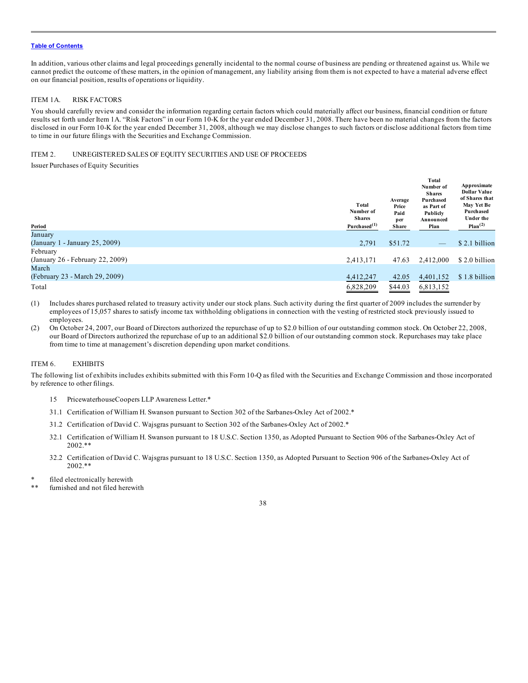<span id="page-37-0"></span>In addition, various other claims and legal proceedings generally incidental to the normal course of business are pending or threatened against us. While we cannot predict the outcome of these matters, in the opinion of management, any liability arising from them is not expected to have a material adverse effect on our financial position, results of operations or liquidity.

#### ITEM 1A. RISK FACTORS

You should carefully review and consider the information regarding certain factors which could materially affect our business, financial condition or future results set forth under Item 1A. "Risk Factors" in our Form 10-K for the year ended December 31, 2008. There have been no material changes from the factors disclosed in our Form 10-K for the year ended December 31, 2008, although we may disclose changes to such factors or disclose additional factors from time to time in our future filings with the Securities and Exchange Commission.

#### ITEM 2. UNREGISTERED SALES OF EQUITY SECURITIES AND USE OF PROCEEDS

Issuer Purchases of Equity Securities

| Period                           | Total<br>Number of<br><b>Shares</b><br>Purchased <sup>(1)</sup> | Average<br>Price<br>Paid<br>per<br>Share | Total<br>Number of<br><b>Shares</b><br>Purchased<br>as Part of<br>Publicly<br>Announced<br>Plan | Approximate<br><b>Dollar Value</b><br>of Shares that<br>May Yet Be<br>Purchased<br>Under the<br>Plan <sup>(2)</sup> |
|----------------------------------|-----------------------------------------------------------------|------------------------------------------|-------------------------------------------------------------------------------------------------|---------------------------------------------------------------------------------------------------------------------|
| January                          |                                                                 |                                          |                                                                                                 |                                                                                                                     |
| (January 1 - January 25, 2009)   | 2,791                                                           | \$51.72                                  | $\hspace{0.1mm}-\hspace{0.1mm}$                                                                 | \$2.1 billion                                                                                                       |
| February                         |                                                                 |                                          |                                                                                                 |                                                                                                                     |
| (January 26 - February 22, 2009) | 2,413,171                                                       | 47.63                                    | 2,412,000                                                                                       | \$2.0 billion                                                                                                       |
| March                            |                                                                 |                                          |                                                                                                 |                                                                                                                     |
| (February 23 - March 29, 2009)   | 4,412,247                                                       | 42.05                                    | 4,401,152                                                                                       | \$1.8 billion                                                                                                       |
| Total                            | 6,828,209                                                       | \$44.03                                  | 6,813,152                                                                                       |                                                                                                                     |

(1) Includes shares purchased related to treasury activity under our stock plans. Such activity during the first quarter of 2009 includes the surrender by employees of 15,057 shares to satisfy income tax withholding obligations in connection with the vesting of restricted stock previously issued to employees.

(2) On October 24, 2007, our Board of Directors authorized the repurchase of up to \$2.0 billion of our outstanding common stock. On October 22, 2008, our Board of Directors authorized the repurchase of up to an additional \$2.0 billion of our outstanding common stock. Repurchases may take place from time to time at management's discretion depending upon market conditions.

#### ITEM 6. EXHIBITS

The following list of exhibits includes exhibits submitted with this Form 10-Q as filed with the Securities and Exchange Commission and those incorporated by reference to other filings.

- 15 PricewaterhouseCoopers LLP Awareness Letter.\*
- 31.1 Certification of William H. Swanson pursuant to Section 302 of the Sarbanes-Oxley Act of 2002.\*
- 31.2 Certification of David C. Wajsgras pursuant to Section 302 of the Sarbanes-Oxley Act of 2002.\*
- 32.1 Certification of William H. Swanson pursuant to 18 U.S.C. Section 1350, as Adopted Pursuant to Section 906 of the Sarbanes-Oxley Act of 2002.\*\*
- 32.2 Certification of David C. Wajsgras pursuant to 18 U.S.C. Section 1350, as Adopted Pursuant to Section 906 of the Sarbanes-Oxley Act of 2002.\*\*
- $*$  filed electronically herewith
- furnished and not filed herewith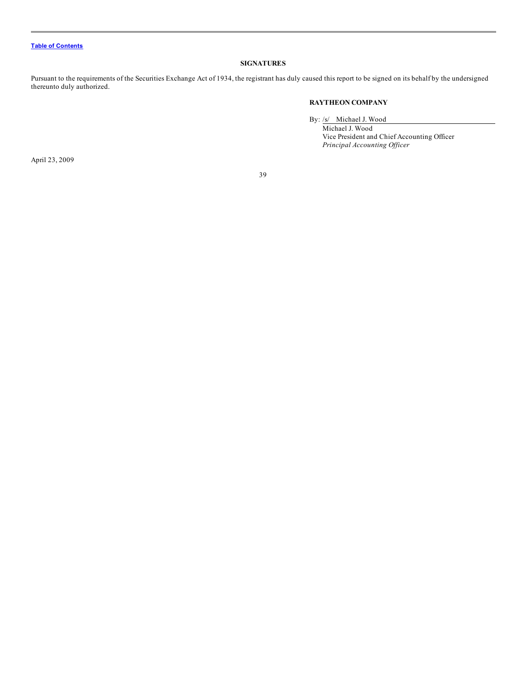### **SIGNATURES**

<span id="page-38-0"></span>Pursuant to the requirements of the Securities Exchange Act of 1934, the registrant has duly caused this report to be signed on its behalf by the undersigned thereunto duly authorized.

### **RAYTHEON COMPANY**

By: /s/ Michael J. Wood

Michael J. Wood Vice President and Chief Accounting Officer *Principal Accounting Of icer*

April 23, 2009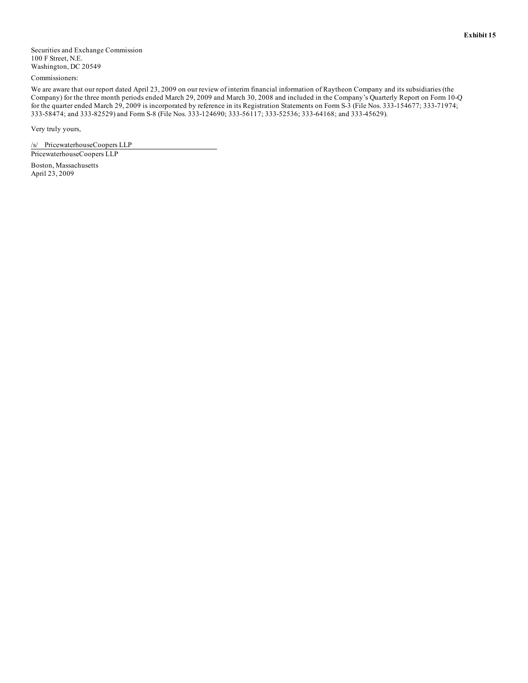Securities and Exchange Commission 100 F Street, N.E. Washington, DC 20549

Commissioners:

We are aware that our report dated April 23, 2009 on our review of interim financial information of Raytheon Company and its subsidiaries (the Company) for the three month periods ended March 29, 2009 and March 30, 2008 and included in the Company's Quarterly Report on Form 10-Q for the quarter ended March 29, 2009 is incorporated by reference in its Registration Statements on Form S-3 (File Nos. 333-154677; 333-71974; 333-58474; and 333-82529) and Form S-8 (File Nos. 333-124690; 333-56117; 333-52536; 333-64168; and 333-45629).

Very truly yours,

/s/ PricewaterhouseCoopers LLP

PricewaterhouseCoopers LLP Boston, Massachusetts April 23, 2009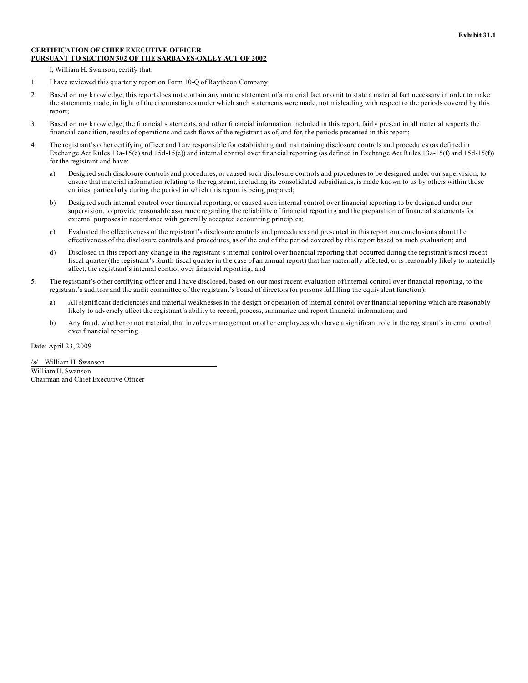#### **Exhibit 31.1**

#### **CERTIFICATION OF CHIEF EXECUTIVE OFFICER PURSUANT TO SECTION 302 OF THE SARBANES-OXLEY ACT OF 2002**

I, William H. Swanson, certify that:

- 1. I have reviewed this quarterly report on Form 10-Q of Raytheon Company;
- 2. Based on my knowledge, this report does not contain any untrue statement of a material fact or omit to state a material fact necessary in order to make the statements made, in light of the circumstances under which such statements were made, not misleading with respect to the periods covered by this report;
- 3. Based on my knowledge, the financial statements, and other financial information included in this report, fairly present in all material respects the financial condition, results of operations and cash flows of the registrant as of, and for, the periods presented in this report;
- 4. The registrant's other certifying officer and I are responsible for establishing and maintaining disclosure controls and procedures (as defined in Exchange Act Rules 13a-15(e) and 15d-15(e)) and internal control over financial reporting (as defined in Exchange Act Rules 13a-15(f) and 15d-15(f)) for the registrant and have:
	- a) Designed such disclosure controls and procedures, or caused such disclosure controls and procedures to be designed under our supervision, to ensure that material information relating to the registrant, including its consolidated subsidiaries, is made known to us by others within those entities, particularly during the period in which this report is being prepared;
	- b) Designed such internal control over financial reporting, or caused such internal control over financial reporting to be designed under our supervision, to provide reasonable assurance regarding the reliability of financial reporting and the preparation of financial statements for external purposes in accordance with generally accepted accounting principles;
	- c) Evaluated the effectiveness of the registrant's disclosure controls and procedures and presented in this report our conclusions about the effectiveness of the disclosure controls and procedures, as of the end of the period covered by this report based on such evaluation; and
	- d) Disclosed in this report any change in the registrant's internal control over financial reporting that occurred during the registrant's most recent fiscal quarter (the registrant's fourth fiscal quarter in the case of an annual report) that has materially affected, or is reasonably likely to materially affect, the registrant's internal control over financial reporting; and
- 5. The registrant's other certifying officer and I have disclosed, based on our most recent evaluation of internal control over financial reporting, to the registrant's auditors and the audit committee of the registrant's board of directors (or persons fulfilling the equivalent function):
	- a) All significant deficiencies and material weaknesses in the design or operation of internal control over financial reporting which are reasonably likely to adversely affect the registrant's ability to record, process, summarize and report financial information; and
	- b) Any fraud, whether or not material, that involves management or other employees who have a significant role in the registrant's internal control over financial reporting.

Date: April 23, 2009

William H. Swanson William H. Swanson

Chairman and Chief Executive Officer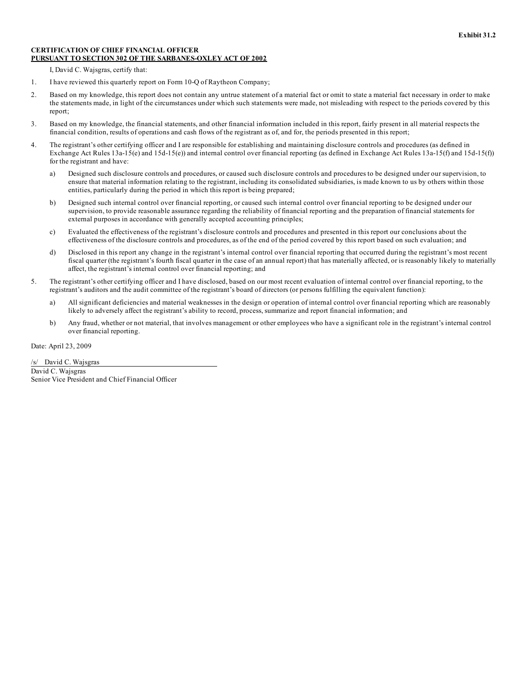#### **Exhibit 31.2**

#### **CERTIFICATION OF CHIEF FINANCIAL OFFICER PURSUANT TO SECTION 302 OF THE SARBANES-OXLEY ACT OF 2002**

I, David C. Wajsgras, certify that:

- 1. I have reviewed this quarterly report on Form 10-Q of Raytheon Company;
- 2. Based on my knowledge, this report does not contain any untrue statement of a material fact or omit to state a material fact necessary in order to make the statements made, in light of the circumstances under which such statements were made, not misleading with respect to the periods covered by this report;
- 3. Based on my knowledge, the financial statements, and other financial information included in this report, fairly present in all material respects the financial condition, results of operations and cash flows of the registrant as of, and for, the periods presented in this report;
- 4. The registrant's other certifying officer and I are responsible for establishing and maintaining disclosure controls and procedures (as defined in Exchange Act Rules 13a-15(e) and 15d-15(e)) and internal control over financial reporting (as defined in Exchange Act Rules 13a-15(f) and 15d-15(f)) for the registrant and have:
	- a) Designed such disclosure controls and procedures, or caused such disclosure controls and procedures to be designed under our supervision, to ensure that material information relating to the registrant, including its consolidated subsidiaries, is made known to us by others within those entities, particularly during the period in which this report is being prepared;
	- b) Designed such internal control over financial reporting, or caused such internal control over financial reporting to be designed under our supervision, to provide reasonable assurance regarding the reliability of financial reporting and the preparation of financial statements for external purposes in accordance with generally accepted accounting principles;
	- c) Evaluated the effectiveness of the registrant's disclosure controls and procedures and presented in this report our conclusions about the effectiveness of the disclosure controls and procedures, as of the end of the period covered by this report based on such evaluation; and
	- d) Disclosed in this report any change in the registrant's internal control over financial reporting that occurred during the registrant's most recent fiscal quarter (the registrant's fourth fiscal quarter in the case of an annual report) that has materially affected, or is reasonably likely to materially affect, the registrant's internal control over financial reporting; and
- 5. The registrant's other certifying officer and I have disclosed, based on our most recent evaluation of internal control over financial reporting, to the registrant's auditors and the audit committee of the registrant's board of directors (or persons fulfilling the equivalent function):
	- a) All significant deficiencies and material weaknesses in the design or operation of internal control over financial reporting which are reasonably likely to adversely affect the registrant's ability to record, process, summarize and report financial information; and
	- b) Any fraud, whether or not material, that involves management or other employees who have a significant role in the registrant's internal control over financial reporting.

### Date: April 23, 2009

/s/ David C. Wajsgras

David C. Wajsgras Senior Vice President and Chief Financial Officer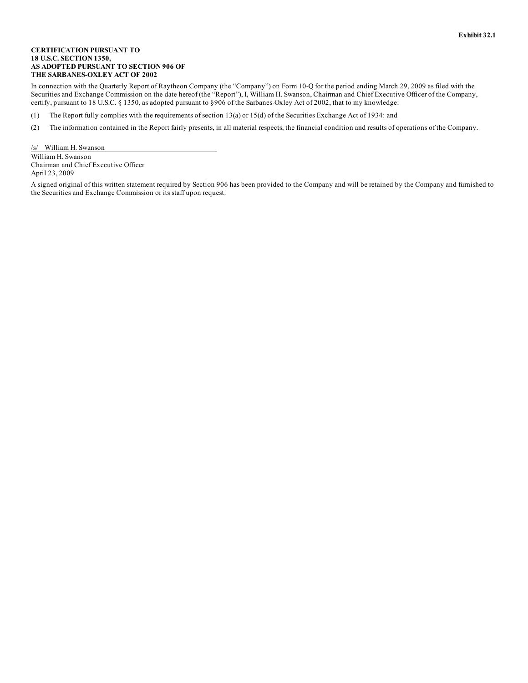#### **CERTIFICATION PURSUANT TO 18 U.S.C. SECTION 1350, AS ADOPTED PURSUANT TO SECTION 906 OF THE SARBANES-OXLEY ACT OF 2002**

In connection with the Quarterly Report of Raytheon Company (the "Company") on Form 10-Q for the period ending March 29, 2009 as filed with the Securities and Exchange Commission on the date hereof (the "Report"), I, William H. Swanson, Chairman and Chief Executive Officer of the Company, certify, pursuant to 18 U.S.C. § 1350, as adopted pursuant to §906 of the Sarbanes-Oxley Act of 2002, that to my knowledge:

(1) The Report fully complies with the requirements of section 13(a) or 15(d) of the Securities Exchange Act of 1934: and

(2) The information contained in the Report fairly presents, in all material respects, the financial condition and results of operations of the Company.

/s/ William H. Swanson William H. Swanson Chairman and Chief Executive Officer April 23, 2009

A signed original of this written statement required by Section 906 has been provided to the Company and will be retained by the Company and furnished to the Securities and Exchange Commission or its staff upon request.